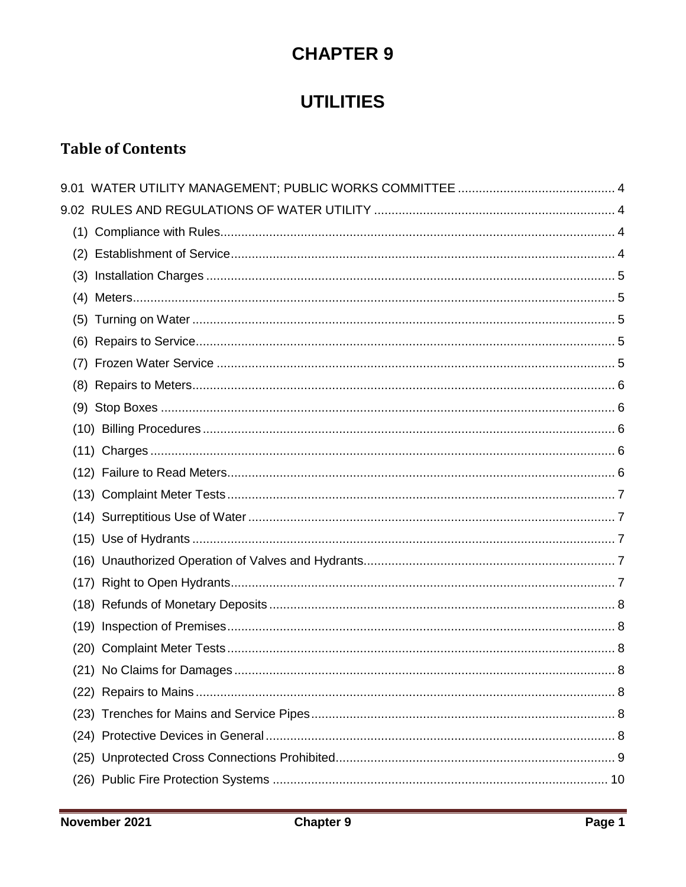# **CHAPTER 9**

# **UTILITIES**

# **Table of Contents**

| (22) |  |
|------|--|
| (23) |  |
|      |  |
|      |  |
|      |  |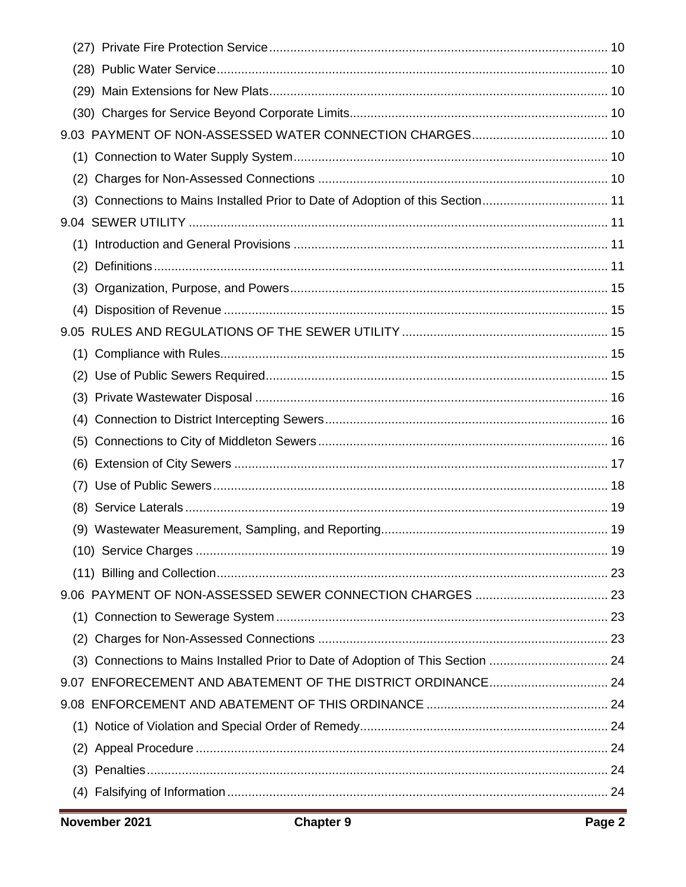| (3) |                                                                                  |  |
|-----|----------------------------------------------------------------------------------|--|
|     |                                                                                  |  |
| (1) |                                                                                  |  |
| (2) |                                                                                  |  |
| (3) |                                                                                  |  |
| (4) |                                                                                  |  |
|     |                                                                                  |  |
|     |                                                                                  |  |
|     |                                                                                  |  |
|     |                                                                                  |  |
|     |                                                                                  |  |
| (5) |                                                                                  |  |
|     |                                                                                  |  |
|     |                                                                                  |  |
|     |                                                                                  |  |
|     |                                                                                  |  |
|     |                                                                                  |  |
|     |                                                                                  |  |
|     |                                                                                  |  |
|     |                                                                                  |  |
| (2) |                                                                                  |  |
|     | (3) Connections to Mains Installed Prior to Date of Adoption of This Section  24 |  |
|     |                                                                                  |  |
|     |                                                                                  |  |
|     |                                                                                  |  |
|     |                                                                                  |  |
|     |                                                                                  |  |
|     |                                                                                  |  |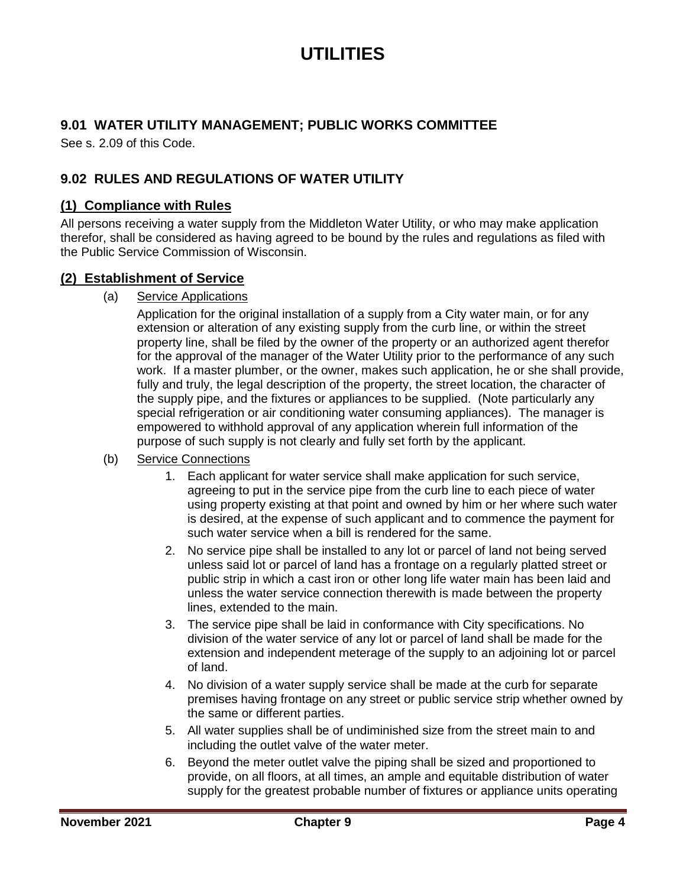# **UTILITIES**

## <span id="page-3-0"></span>**9.01 WATER UTILITY MANAGEMENT; PUBLIC WORKS COMMITTEE**

See s. 2.09 of this Code.

## <span id="page-3-1"></span>**9.02 RULES AND REGULATIONS OF WATER UTILITY**

#### <span id="page-3-2"></span>**(1) Compliance with Rules**

All persons receiving a water supply from the Middleton Water Utility, or who may make application therefor, shall be considered as having agreed to be bound by the rules and regulations as filed with the Public Service Commission of Wisconsin.

#### <span id="page-3-3"></span>**(2) Establishment of Service**

(a) Service Applications

Application for the original installation of a supply from a City water main, or for any extension or alteration of any existing supply from the curb line, or within the street property line, shall be filed by the owner of the property or an authorized agent therefor for the approval of the manager of the Water Utility prior to the performance of any such work. If a master plumber, or the owner, makes such application, he or she shall provide, fully and truly, the legal description of the property, the street location, the character of the supply pipe, and the fixtures or appliances to be supplied. (Note particularly any special refrigeration or air conditioning water consuming appliances). The manager is empowered to withhold approval of any application wherein full information of the purpose of such supply is not clearly and fully set forth by the applicant.

- (b) Service Connections
	- 1. Each applicant for water service shall make application for such service, agreeing to put in the service pipe from the curb line to each piece of water using property existing at that point and owned by him or her where such water is desired, at the expense of such applicant and to commence the payment for such water service when a bill is rendered for the same.
	- 2. No service pipe shall be installed to any lot or parcel of land not being served unless said lot or parcel of land has a frontage on a regularly platted street or public strip in which a cast iron or other long life water main has been laid and unless the water service connection therewith is made between the property lines, extended to the main.
	- 3. The service pipe shall be laid in conformance with City specifications. No division of the water service of any lot or parcel of land shall be made for the extension and independent meterage of the supply to an adjoining lot or parcel of land.
	- 4. No division of a water supply service shall be made at the curb for separate premises having frontage on any street or public service strip whether owned by the same or different parties.
	- 5. All water supplies shall be of undiminished size from the street main to and including the outlet valve of the water meter.
	- 6. Beyond the meter outlet valve the piping shall be sized and proportioned to provide, on all floors, at all times, an ample and equitable distribution of water supply for the greatest probable number of fixtures or appliance units operating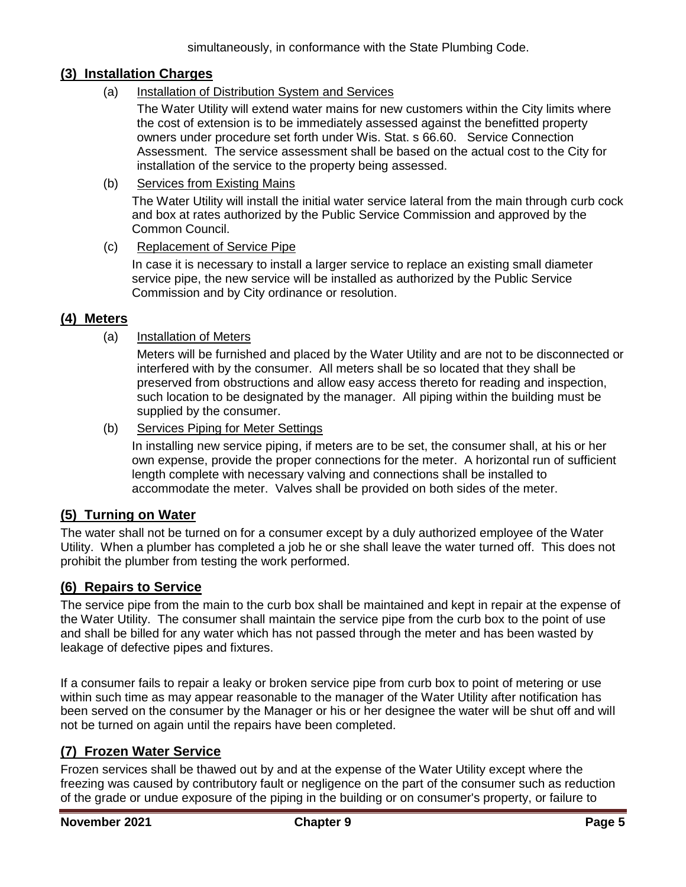#### <span id="page-4-0"></span>**(3) Installation Charges**

(a) Installation of Distribution System and Services

The Water Utility will extend water mains for new customers within the City limits where the cost of extension is to be immediately assessed against the benefitted property owners under procedure set forth under Wis. Stat. s 66.60. Service Connection Assessment. The service assessment shall be based on the actual cost to the City for installation of the service to the property being assessed.

(b) Services from Existing Mains

The Water Utility will install the initial water service lateral from the main through curb cock and box at rates authorized by the Public Service Commission and approved by the Common Council.

(c) Replacement of Service Pipe

In case it is necessary to install a larger service to replace an existing small diameter service pipe, the new service will be installed as authorized by the Public Service Commission and by City ordinance or resolution.

#### <span id="page-4-1"></span>**(4) Meters**

#### (a) Installation of Meters

Meters will be furnished and placed by the Water Utility and are not to be disconnected or interfered with by the consumer. All meters shall be so located that they shall be preserved from obstructions and allow easy access thereto for reading and inspection, such location to be designated by the manager. All piping within the building must be supplied by the consumer.

(b) Services Piping for Meter Settings

In installing new service piping, if meters are to be set, the consumer shall, at his or her own expense, provide the proper connections for the meter. A horizontal run of sufficient length complete with necessary valving and connections shall be installed to accommodate the meter. Valves shall be provided on both sides of the meter.

#### <span id="page-4-2"></span>**(5) Turning on Water**

The water shall not be turned on for a consumer except by a duly authorized employee of the Water Utility. When a plumber has completed a job he or she shall leave the water turned off. This does not prohibit the plumber from testing the work performed.

#### <span id="page-4-3"></span>**(6) Repairs to Service**

The service pipe from the main to the curb box shall be maintained and kept in repair at the expense of the Water Utility. The consumer shall maintain the service pipe from the curb box to the point of use and shall be billed for any water which has not passed through the meter and has been wasted by leakage of defective pipes and fixtures.

If a consumer fails to repair a leaky or broken service pipe from curb box to point of metering or use within such time as may appear reasonable to the manager of the Water Utility after notification has been served on the consumer by the Manager or his or her designee the water will be shut off and will not be turned on again until the repairs have been completed.

## <span id="page-4-4"></span>**(7) Frozen Water Service**

Frozen services shall be thawed out by and at the expense of the Water Utility except where the freezing was caused by contributory fault or negligence on the part of the consumer such as reduction of the grade or undue exposure of the piping in the building or on consumer's property, or failure to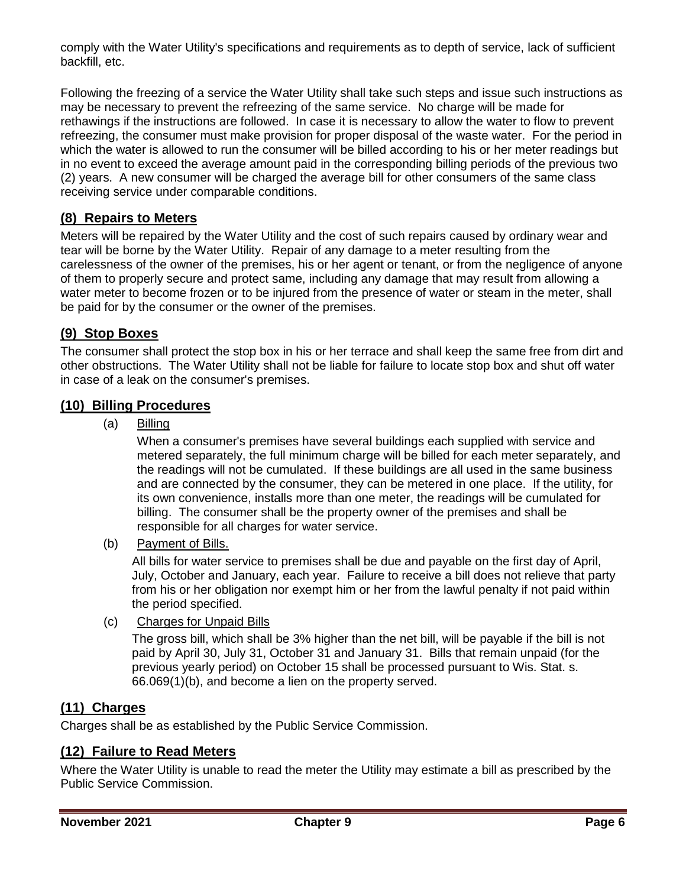comply with the Water Utility's specifications and requirements as to depth of service, lack of sufficient backfill, etc.

Following the freezing of a service the Water Utility shall take such steps and issue such instructions as may be necessary to prevent the refreezing of the same service. No charge will be made for rethawings if the instructions are followed. In case it is necessary to allow the water to flow to prevent refreezing, the consumer must make provision for proper disposal of the waste water. For the period in which the water is allowed to run the consumer will be billed according to his or her meter readings but in no event to exceed the average amount paid in the corresponding billing periods of the previous two (2) years. A new consumer will be charged the average bill for other consumers of the same class receiving service under comparable conditions.

# <span id="page-5-0"></span>**(8) Repairs to Meters**

Meters will be repaired by the Water Utility and the cost of such repairs caused by ordinary wear and tear will be borne by the Water Utility. Repair of any damage to a meter resulting from the carelessness of the owner of the premises, his or her agent or tenant, or from the negligence of anyone of them to properly secure and protect same, including any damage that may result from allowing a water meter to become frozen or to be injured from the presence of water or steam in the meter, shall be paid for by the consumer or the owner of the premises.

## <span id="page-5-1"></span>**(9) Stop Boxes**

The consumer shall protect the stop box in his or her terrace and shall keep the same free from dirt and other obstructions. The Water Utility shall not be liable for failure to locate stop box and shut off water in case of a leak on the consumer's premises.

### <span id="page-5-2"></span>**(10) Billing Procedures**

(a) Billing

When a consumer's premises have several buildings each supplied with service and metered separately, the full minimum charge will be billed for each meter separately, and the readings will not be cumulated. If these buildings are all used in the same business and are connected by the consumer, they can be metered in one place. If the utility, for its own convenience, installs more than one meter, the readings will be cumulated for billing. The consumer shall be the property owner of the premises and shall be responsible for all charges for water service.

(b) Payment of Bills.

All bills for water service to premises shall be due and payable on the first day of April, July, October and January, each year. Failure to receive a bill does not relieve that party from his or her obligation nor exempt him or her from the lawful penalty if not paid within the period specified.

(c) Charges for Unpaid Bills

The gross bill, which shall be 3% higher than the net bill, will be payable if the bill is not paid by April 30, July 31, October 31 and January 31. Bills that remain unpaid (for the previous yearly period) on October 15 shall be processed pursuant to Wis. Stat. s. 66.069(1)(b), and become a lien on the property served.

## <span id="page-5-3"></span>**(11) Charges**

Charges shall be as established by the Public Service Commission.

# <span id="page-5-4"></span>**(12) Failure to Read Meters**

Where the Water Utility is unable to read the meter the Utility may estimate a bill as prescribed by the Public Service Commission.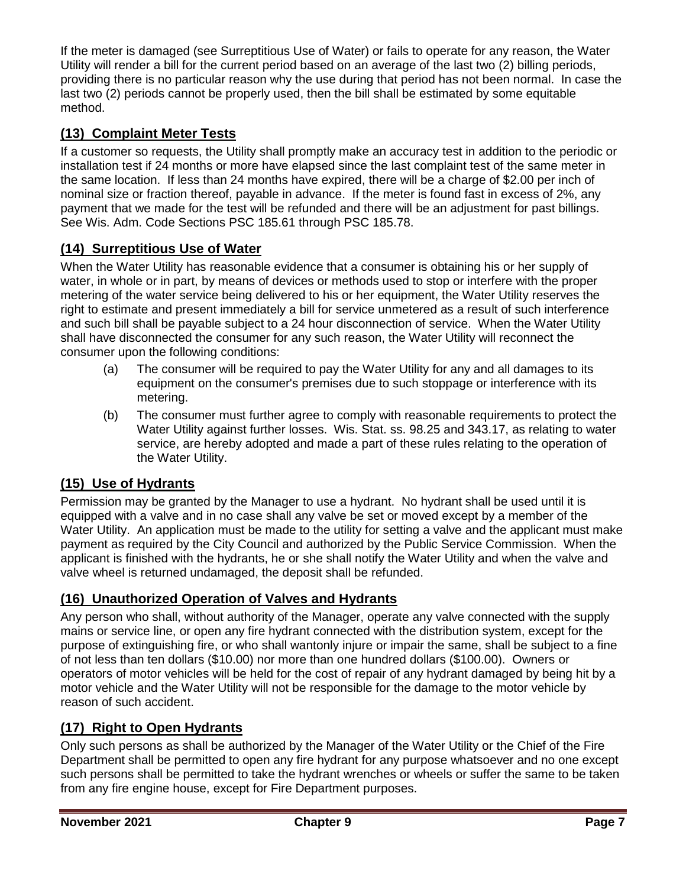If the meter is damaged (see Surreptitious Use of Water) or fails to operate for any reason, the Water Utility will render a bill for the current period based on an average of the last two (2) billing periods, providing there is no particular reason why the use during that period has not been normal. In case the last two (2) periods cannot be properly used, then the bill shall be estimated by some equitable method.

# <span id="page-6-0"></span>**(13) Complaint Meter Tests**

If a customer so requests, the Utility shall promptly make an accuracy test in addition to the periodic or installation test if 24 months or more have elapsed since the last complaint test of the same meter in the same location. If less than 24 months have expired, there will be a charge of \$2.00 per inch of nominal size or fraction thereof, payable in advance. If the meter is found fast in excess of 2%, any payment that we made for the test will be refunded and there will be an adjustment for past billings. See Wis. Adm. Code Sections PSC 185.61 through PSC 185.78.

# <span id="page-6-1"></span>**(14) Surreptitious Use of Water**

When the Water Utility has reasonable evidence that a consumer is obtaining his or her supply of water, in whole or in part, by means of devices or methods used to stop or interfere with the proper metering of the water service being delivered to his or her equipment, the Water Utility reserves the right to estimate and present immediately a bill for service unmetered as a result of such interference and such bill shall be payable subject to a 24 hour disconnection of service. When the Water Utility shall have disconnected the consumer for any such reason, the Water Utility will reconnect the consumer upon the following conditions:

- (a) The consumer will be required to pay the Water Utility for any and all damages to its equipment on the consumer's premises due to such stoppage or interference with its metering.
- (b) The consumer must further agree to comply with reasonable requirements to protect the Water Utility against further losses. Wis. Stat. ss. 98.25 and 343.17, as relating to water service, are hereby adopted and made a part of these rules relating to the operation of the Water Utility.

## <span id="page-6-2"></span>**(15) Use of Hydrants**

Permission may be granted by the Manager to use a hydrant. No hydrant shall be used until it is equipped with a valve and in no case shall any valve be set or moved except by a member of the Water Utility. An application must be made to the utility for setting a valve and the applicant must make payment as required by the City Council and authorized by the Public Service Commission. When the applicant is finished with the hydrants, he or she shall notify the Water Utility and when the valve and valve wheel is returned undamaged, the deposit shall be refunded.

## <span id="page-6-3"></span>**(16) Unauthorized Operation of Valves and Hydrants**

Any person who shall, without authority of the Manager, operate any valve connected with the supply mains or service line, or open any fire hydrant connected with the distribution system, except for the purpose of extinguishing fire, or who shall wantonly injure or impair the same, shall be subject to a fine of not less than ten dollars (\$10.00) nor more than one hundred dollars (\$100.00). Owners or operators of motor vehicles will be held for the cost of repair of any hydrant damaged by being hit by a motor vehicle and the Water Utility will not be responsible for the damage to the motor vehicle by reason of such accident.

## <span id="page-6-4"></span>**(17) Right to Open Hydrants**

Only such persons as shall be authorized by the Manager of the Water Utility or the Chief of the Fire Department shall be permitted to open any fire hydrant for any purpose whatsoever and no one except such persons shall be permitted to take the hydrant wrenches or wheels or suffer the same to be taken from any fire engine house, except for Fire Department purposes.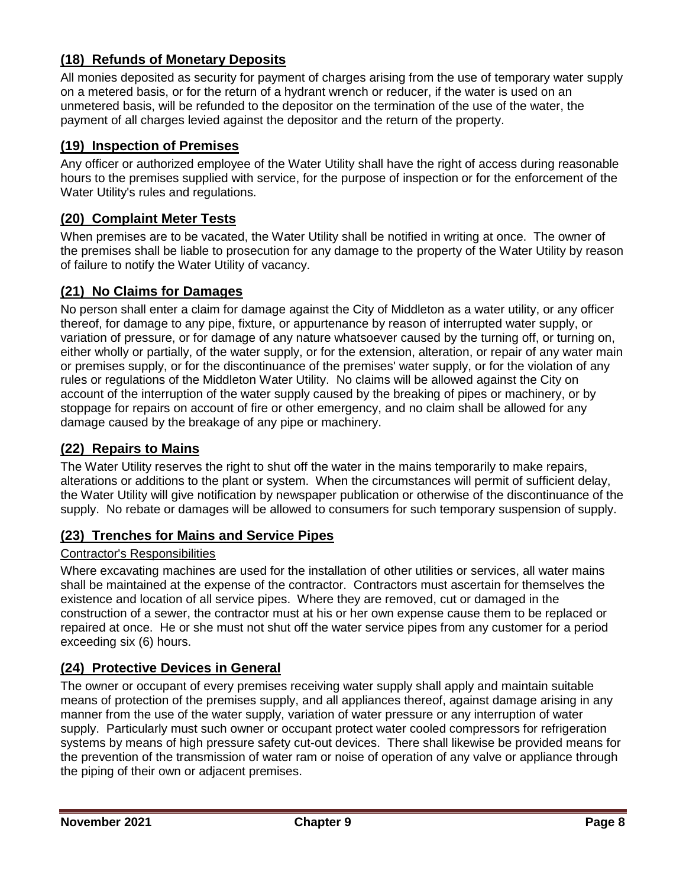# <span id="page-7-0"></span>**(18) Refunds of Monetary Deposits**

All monies deposited as security for payment of charges arising from the use of temporary water supply on a metered basis, or for the return of a hydrant wrench or reducer, if the water is used on an unmetered basis, will be refunded to the depositor on the termination of the use of the water, the payment of all charges levied against the depositor and the return of the property.

#### <span id="page-7-1"></span>**(19) Inspection of Premises**

Any officer or authorized employee of the Water Utility shall have the right of access during reasonable hours to the premises supplied with service, for the purpose of inspection or for the enforcement of the Water Utility's rules and regulations.

#### <span id="page-7-2"></span>**(20) Complaint Meter Tests**

When premises are to be vacated, the Water Utility shall be notified in writing at once. The owner of the premises shall be liable to prosecution for any damage to the property of the Water Utility by reason of failure to notify the Water Utility of vacancy.

## <span id="page-7-3"></span>**(21) No Claims for Damages**

No person shall enter a claim for damage against the City of Middleton as a water utility, or any officer thereof, for damage to any pipe, fixture, or appurtenance by reason of interrupted water supply, or variation of pressure, or for damage of any nature whatsoever caused by the turning off, or turning on, either wholly or partially, of the water supply, or for the extension, alteration, or repair of any water main or premises supply, or for the discontinuance of the premises' water supply, or for the violation of any rules or regulations of the Middleton Water Utility. No claims will be allowed against the City on account of the interruption of the water supply caused by the breaking of pipes or machinery, or by stoppage for repairs on account of fire or other emergency, and no claim shall be allowed for any damage caused by the breakage of any pipe or machinery.

#### <span id="page-7-4"></span>**(22) Repairs to Mains**

The Water Utility reserves the right to shut off the water in the mains temporarily to make repairs, alterations or additions to the plant or system. When the circumstances will permit of sufficient delay, the Water Utility will give notification by newspaper publication or otherwise of the discontinuance of the supply. No rebate or damages will be allowed to consumers for such temporary suspension of supply.

#### <span id="page-7-5"></span>**(23) Trenches for Mains and Service Pipes**

#### Contractor's Responsibilities

Where excavating machines are used for the installation of other utilities or services, all water mains shall be maintained at the expense of the contractor. Contractors must ascertain for themselves the existence and location of all service pipes. Where they are removed, cut or damaged in the construction of a sewer, the contractor must at his or her own expense cause them to be replaced or repaired at once. He or she must not shut off the water service pipes from any customer for a period exceeding six (6) hours.

#### <span id="page-7-6"></span>**(24) Protective Devices in General**

The owner or occupant of every premises receiving water supply shall apply and maintain suitable means of protection of the premises supply, and all appliances thereof, against damage arising in any manner from the use of the water supply, variation of water pressure or any interruption of water supply. Particularly must such owner or occupant protect water cooled compressors for refrigeration systems by means of high pressure safety cut-out devices. There shall likewise be provided means for the prevention of the transmission of water ram or noise of operation of any valve or appliance through the piping of their own or adjacent premises.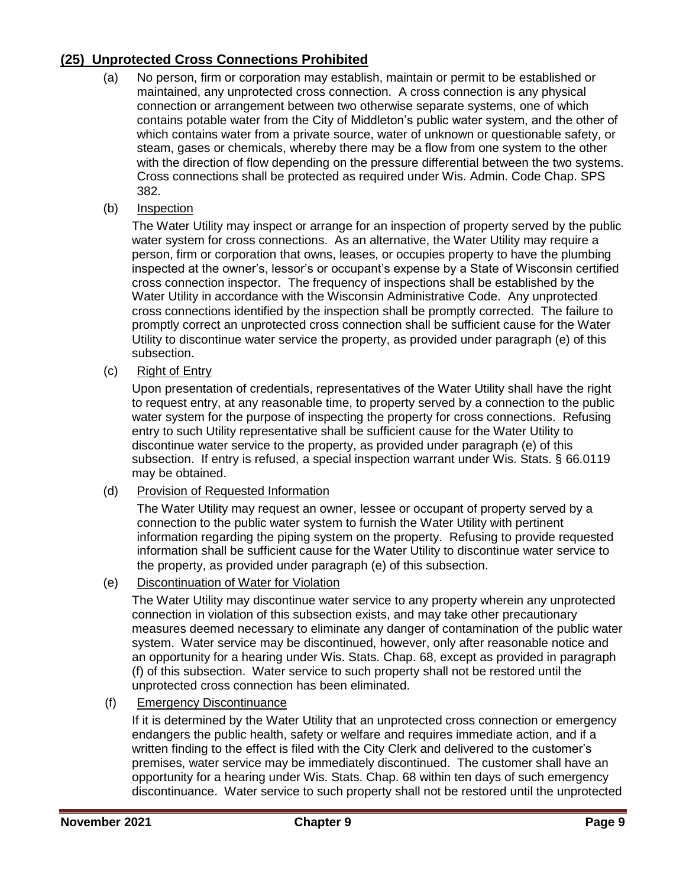# <span id="page-8-0"></span>**(25) Unprotected Cross Connections Prohibited**

- (a) No person, firm or corporation may establish, maintain or permit to be established or maintained, any unprotected cross connection. A cross connection is any physical connection or arrangement between two otherwise separate systems, one of which contains potable water from the City of Middleton's public water system, and the other of which contains water from a private source, water of unknown or questionable safety, or steam, gases or chemicals, whereby there may be a flow from one system to the other with the direction of flow depending on the pressure differential between the two systems. Cross connections shall be protected as required under Wis. Admin. Code Chap. SPS 382.
- (b) Inspection

The Water Utility may inspect or arrange for an inspection of property served by the public water system for cross connections. As an alternative, the Water Utility may require a person, firm or corporation that owns, leases, or occupies property to have the plumbing inspected at the owner's, lessor's or occupant's expense by a State of Wisconsin certified cross connection inspector. The frequency of inspections shall be established by the Water Utility in accordance with the Wisconsin Administrative Code. Any unprotected cross connections identified by the inspection shall be promptly corrected. The failure to promptly correct an unprotected cross connection shall be sufficient cause for the Water Utility to discontinue water service the property, as provided under paragraph (e) of this subsection.

(c) Right of Entry

Upon presentation of credentials, representatives of the Water Utility shall have the right to request entry, at any reasonable time, to property served by a connection to the public water system for the purpose of inspecting the property for cross connections. Refusing entry to such Utility representative shall be sufficient cause for the Water Utility to discontinue water service to the property, as provided under paragraph (e) of this subsection. If entry is refused, a special inspection warrant under Wis. Stats. § 66.0119 may be obtained.

(d) Provision of Requested Information

The Water Utility may request an owner, lessee or occupant of property served by a connection to the public water system to furnish the Water Utility with pertinent information regarding the piping system on the property. Refusing to provide requested information shall be sufficient cause for the Water Utility to discontinue water service to the property, as provided under paragraph (e) of this subsection.

(e) Discontinuation of Water for Violation

The Water Utility may discontinue water service to any property wherein any unprotected connection in violation of this subsection exists, and may take other precautionary measures deemed necessary to eliminate any danger of contamination of the public water system. Water service may be discontinued, however, only after reasonable notice and an opportunity for a hearing under Wis. Stats. Chap. 68, except as provided in paragraph (f) of this subsection. Water service to such property shall not be restored until the unprotected cross connection has been eliminated.

(f) Emergency Discontinuance

If it is determined by the Water Utility that an unprotected cross connection or emergency endangers the public health, safety or welfare and requires immediate action, and if a written finding to the effect is filed with the City Clerk and delivered to the customer's premises, water service may be immediately discontinued. The customer shall have an opportunity for a hearing under Wis. Stats. Chap. 68 within ten days of such emergency discontinuance. Water service to such property shall not be restored until the unprotected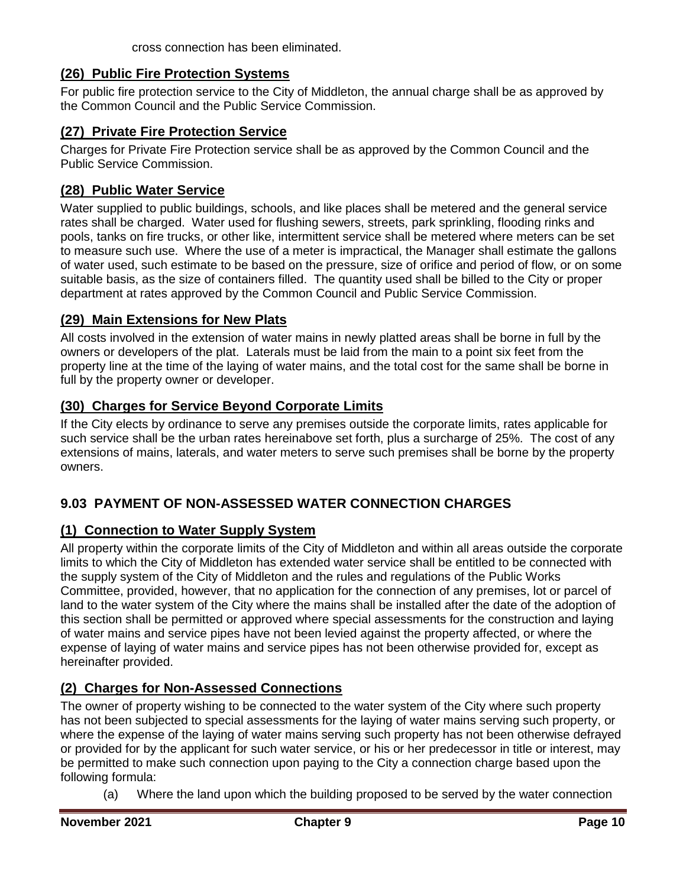## <span id="page-9-0"></span>**(26) Public Fire Protection Systems**

For public fire protection service to the City of Middleton, the annual charge shall be as approved by the Common Council and the Public Service Commission.

#### <span id="page-9-1"></span>**(27) Private Fire Protection Service**

Charges for Private Fire Protection service shall be as approved by the Common Council and the Public Service Commission.

#### <span id="page-9-2"></span>**(28) Public Water Service**

Water supplied to public buildings, schools, and like places shall be metered and the general service rates shall be charged. Water used for flushing sewers, streets, park sprinkling, flooding rinks and pools, tanks on fire trucks, or other like, intermittent service shall be metered where meters can be set to measure such use. Where the use of a meter is impractical, the Manager shall estimate the gallons of water used, such estimate to be based on the pressure, size of orifice and period of flow, or on some suitable basis, as the size of containers filled. The quantity used shall be billed to the City or proper department at rates approved by the Common Council and Public Service Commission.

### <span id="page-9-3"></span>**(29) Main Extensions for New Plats**

All costs involved in the extension of water mains in newly platted areas shall be borne in full by the owners or developers of the plat. Laterals must be laid from the main to a point six feet from the property line at the time of the laying of water mains, and the total cost for the same shall be borne in full by the property owner or developer.

## <span id="page-9-4"></span>**(30) Charges for Service Beyond Corporate Limits**

If the City elects by ordinance to serve any premises outside the corporate limits, rates applicable for such service shall be the urban rates hereinabove set forth, plus a surcharge of 25%. The cost of any extensions of mains, laterals, and water meters to serve such premises shall be borne by the property owners.

## <span id="page-9-5"></span>**9.03 PAYMENT OF NON-ASSESSED WATER CONNECTION CHARGES**

## <span id="page-9-6"></span>**(1) Connection to Water Supply System**

All property within the corporate limits of the City of Middleton and within all areas outside the corporate limits to which the City of Middleton has extended water service shall be entitled to be connected with the supply system of the City of Middleton and the rules and regulations of the Public Works Committee, provided, however, that no application for the connection of any premises, lot or parcel of land to the water system of the City where the mains shall be installed after the date of the adoption of this section shall be permitted or approved where special assessments for the construction and laying of water mains and service pipes have not been levied against the property affected, or where the expense of laying of water mains and service pipes has not been otherwise provided for, except as hereinafter provided.

## <span id="page-9-7"></span>**(2) Charges for Non-Assessed Connections**

The owner of property wishing to be connected to the water system of the City where such property has not been subjected to special assessments for the laying of water mains serving such property, or where the expense of the laying of water mains serving such property has not been otherwise defrayed or provided for by the applicant for such water service, or his or her predecessor in title or interest, may be permitted to make such connection upon paying to the City a connection charge based upon the following formula:

(a) Where the land upon which the building proposed to be served by the water connection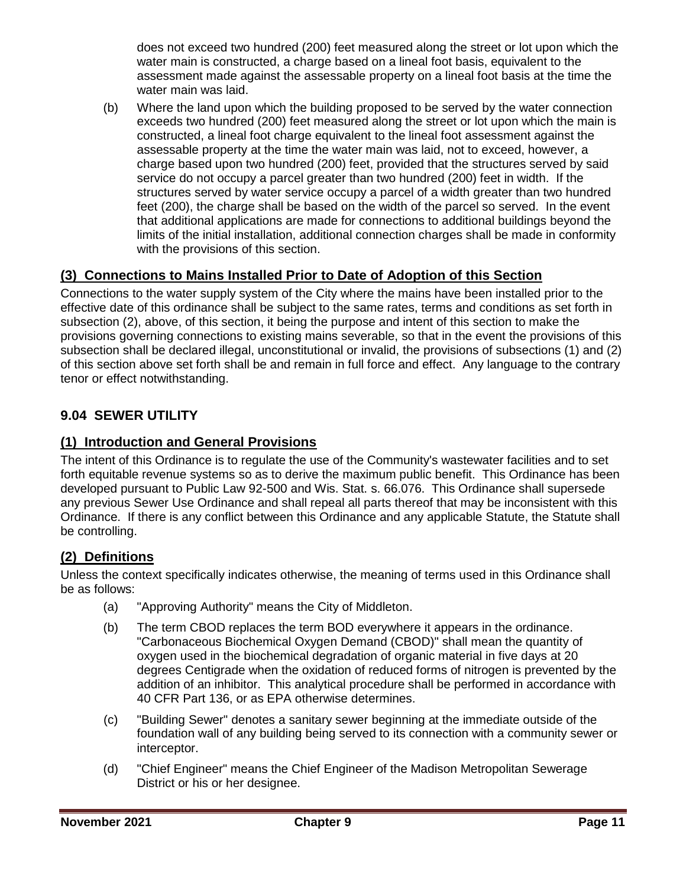does not exceed two hundred (200) feet measured along the street or lot upon which the water main is constructed, a charge based on a lineal foot basis, equivalent to the assessment made against the assessable property on a lineal foot basis at the time the water main was laid.

(b) Where the land upon which the building proposed to be served by the water connection exceeds two hundred (200) feet measured along the street or lot upon which the main is constructed, a lineal foot charge equivalent to the lineal foot assessment against the assessable property at the time the water main was laid, not to exceed, however, a charge based upon two hundred (200) feet, provided that the structures served by said service do not occupy a parcel greater than two hundred (200) feet in width. If the structures served by water service occupy a parcel of a width greater than two hundred feet (200), the charge shall be based on the width of the parcel so served. In the event that additional applications are made for connections to additional buildings beyond the limits of the initial installation, additional connection charges shall be made in conformity with the provisions of this section.

# <span id="page-10-0"></span>**(3) Connections to Mains Installed Prior to Date of Adoption of this Section**

Connections to the water supply system of the City where the mains have been installed prior to the effective date of this ordinance shall be subject to the same rates, terms and conditions as set forth in subsection (2), above, of this section, it being the purpose and intent of this section to make the provisions governing connections to existing mains severable, so that in the event the provisions of this subsection shall be declared illegal, unconstitutional or invalid, the provisions of subsections (1) and (2) of this section above set forth shall be and remain in full force and effect. Any language to the contrary tenor or effect notwithstanding.

# <span id="page-10-1"></span>**9.04 SEWER UTILITY**

## <span id="page-10-2"></span>**(1) Introduction and General Provisions**

The intent of this Ordinance is to regulate the use of the Community's wastewater facilities and to set forth equitable revenue systems so as to derive the maximum public benefit. This Ordinance has been developed pursuant to Public Law 92-500 and Wis. Stat. s. 66.076. This Ordinance shall supersede any previous Sewer Use Ordinance and shall repeal all parts thereof that may be inconsistent with this Ordinance. If there is any conflict between this Ordinance and any applicable Statute, the Statute shall be controlling.

## <span id="page-10-3"></span>**(2) Definitions**

Unless the context specifically indicates otherwise, the meaning of terms used in this Ordinance shall be as follows:

- (a) "Approving Authority" means the City of Middleton.
- (b) The term CBOD replaces the term BOD everywhere it appears in the ordinance. "Carbonaceous Biochemical Oxygen Demand (CBOD)" shall mean the quantity of oxygen used in the biochemical degradation of organic material in five days at 20 degrees Centigrade when the oxidation of reduced forms of nitrogen is prevented by the addition of an inhibitor. This analytical procedure shall be performed in accordance with 40 CFR Part 136, or as EPA otherwise determines.
- (c) "Building Sewer" denotes a sanitary sewer beginning at the immediate outside of the foundation wall of any building being served to its connection with a community sewer or interceptor.
- (d) "Chief Engineer" means the Chief Engineer of the Madison Metropolitan Sewerage District or his or her designee.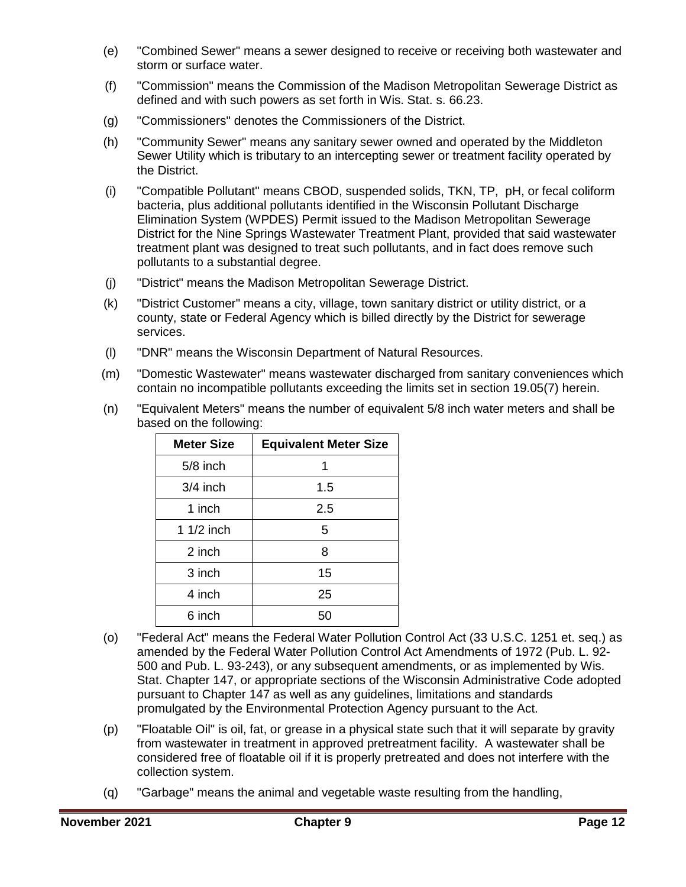- (e) "Combined Sewer" means a sewer designed to receive or receiving both wastewater and storm or surface water.
- (f) "Commission" means the Commission of the Madison Metropolitan Sewerage District as defined and with such powers as set forth in Wis. Stat. s. 66.23.
- (g) "Commissioners" denotes the Commissioners of the District.
- (h) "Community Sewer" means any sanitary sewer owned and operated by the Middleton Sewer Utility which is tributary to an intercepting sewer or treatment facility operated by the District.
- (i) "Compatible Pollutant" means CBOD, suspended solids, TKN, TP, pH, or fecal coliform bacteria, plus additional pollutants identified in the Wisconsin Pollutant Discharge Elimination System (WPDES) Permit issued to the Madison Metropolitan Sewerage District for the Nine Springs Wastewater Treatment Plant, provided that said wastewater treatment plant was designed to treat such pollutants, and in fact does remove such pollutants to a substantial degree.
- (j) "District" means the Madison Metropolitan Sewerage District.
- (k) "District Customer" means a city, village, town sanitary district or utility district, or a county, state or Federal Agency which is billed directly by the District for sewerage services.
- (l) "DNR" means the Wisconsin Department of Natural Resources.
- (m) "Domestic Wastewater" means wastewater discharged from sanitary conveniences which contain no incompatible pollutants exceeding the limits set in section 19.05(7) herein.
- (n) "Equivalent Meters" means the number of equivalent 5/8 inch water meters and shall be based on the following:

| <b>Meter Size</b> | <b>Equivalent Meter Size</b> |
|-------------------|------------------------------|
| $5/8$ inch        | 1                            |
| $3/4$ inch        | 1.5                          |
| 1 inch            | 2.5                          |
| 1 1/2 inch        | 5                            |
| 2 inch            | 8                            |
| 3 inch            | 15                           |
| 4 inch            | 25                           |
| 6 inch            | 50                           |

- (o) "Federal Act" means the Federal Water Pollution Control Act (33 U.S.C. 1251 et. seq.) as amended by the Federal Water Pollution Control Act Amendments of 1972 (Pub. L. 92- 500 and Pub. L. 93-243), or any subsequent amendments, or as implemented by Wis. Stat. Chapter 147, or appropriate sections of the Wisconsin Administrative Code adopted pursuant to Chapter 147 as well as any guidelines, limitations and standards promulgated by the Environmental Protection Agency pursuant to the Act.
- (p) "Floatable Oil" is oil, fat, or grease in a physical state such that it will separate by gravity from wastewater in treatment in approved pretreatment facility. A wastewater shall be considered free of floatable oil if it is properly pretreated and does not interfere with the collection system.
- (q) "Garbage" means the animal and vegetable waste resulting from the handling,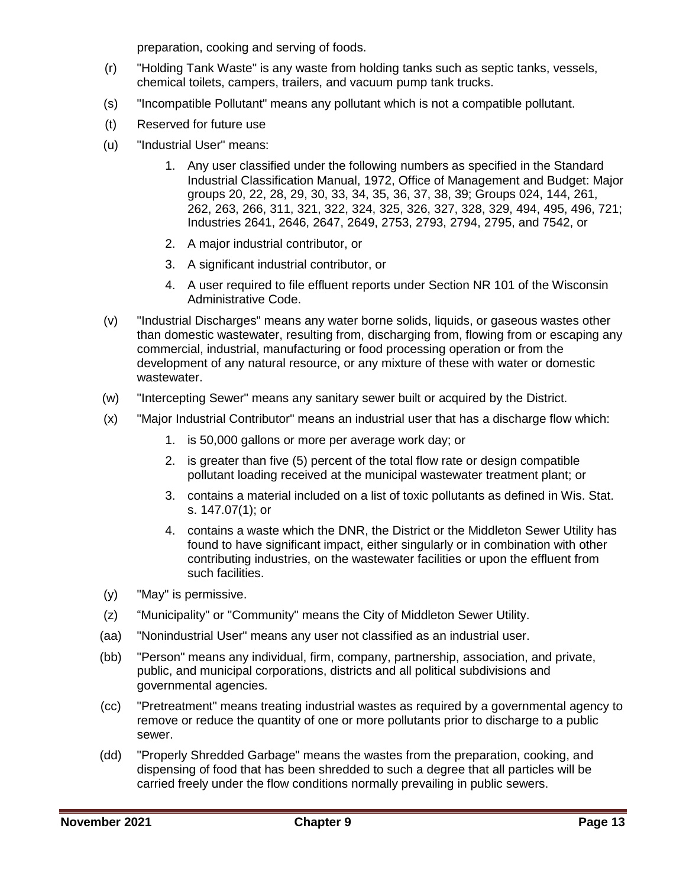preparation, cooking and serving of foods.

- (r) "Holding Tank Waste" is any waste from holding tanks such as septic tanks, vessels, chemical toilets, campers, trailers, and vacuum pump tank trucks.
- (s) "Incompatible Pollutant" means any pollutant which is not a compatible pollutant.
- (t) Reserved for future use
- (u) "Industrial User" means:
	- 1. Any user classified under the following numbers as specified in the Standard Industrial Classification Manual, 1972, Office of Management and Budget: Major groups 20, 22, 28, 29, 30, 33, 34, 35, 36, 37, 38, 39; Groups 024, 144, 261, 262, 263, 266, 311, 321, 322, 324, 325, 326, 327, 328, 329, 494, 495, 496, 721; Industries 2641, 2646, 2647, 2649, 2753, 2793, 2794, 2795, and 7542, or
	- 2. A major industrial contributor, or
	- 3. A significant industrial contributor, or
	- 4. A user required to file effluent reports under Section NR 101 of the Wisconsin Administrative Code.
- (v) "Industrial Discharges" means any water borne solids, liquids, or gaseous wastes other than domestic wastewater, resulting from, discharging from, flowing from or escaping any commercial, industrial, manufacturing or food processing operation or from the development of any natural resource, or any mixture of these with water or domestic wastewater.
- (w) "Intercepting Sewer" means any sanitary sewer built or acquired by the District.
- (x) "Major Industrial Contributor" means an industrial user that has a discharge flow which:
	- 1. is 50,000 gallons or more per average work day; or
	- 2. is greater than five (5) percent of the total flow rate or design compatible pollutant loading received at the municipal wastewater treatment plant; or
	- 3. contains a material included on a list of toxic pollutants as defined in Wis. Stat. s. 147.07(1); or
	- 4. contains a waste which the DNR, the District or the Middleton Sewer Utility has found to have significant impact, either singularly or in combination with other contributing industries, on the wastewater facilities or upon the effluent from such facilities.
- (y) "May" is permissive.
- (z) "Municipality" or "Community" means the City of Middleton Sewer Utility.
- (aa) "Nonindustrial User" means any user not classified as an industrial user.
- (bb) "Person" means any individual, firm, company, partnership, association, and private, public, and municipal corporations, districts and all political subdivisions and governmental agencies.
- (cc) "Pretreatment" means treating industrial wastes as required by a governmental agency to remove or reduce the quantity of one or more pollutants prior to discharge to a public sewer.
- (dd) "Properly Shredded Garbage" means the wastes from the preparation, cooking, and dispensing of food that has been shredded to such a degree that all particles will be carried freely under the flow conditions normally prevailing in public sewers.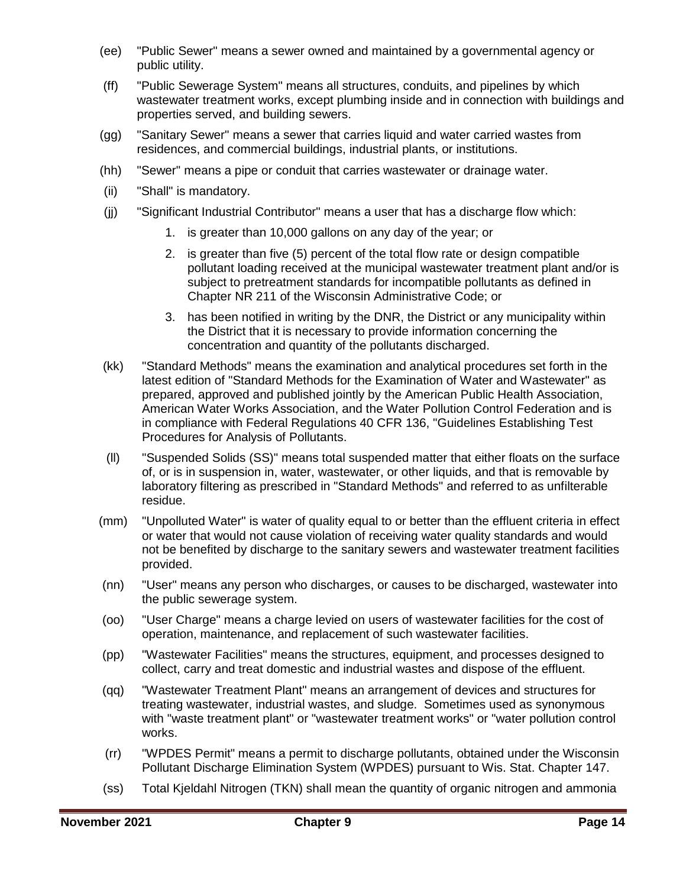- (ee) "Public Sewer" means a sewer owned and maintained by a governmental agency or public utility.
- (ff) "Public Sewerage System" means all structures, conduits, and pipelines by which wastewater treatment works, except plumbing inside and in connection with buildings and properties served, and building sewers.
- (gg) "Sanitary Sewer" means a sewer that carries liquid and water carried wastes from residences, and commercial buildings, industrial plants, or institutions.
- (hh) "Sewer" means a pipe or conduit that carries wastewater or drainage water.
- (ii) "Shall" is mandatory.
- (jj) "Significant Industrial Contributor" means a user that has a discharge flow which:
	- 1. is greater than 10,000 gallons on any day of the year; or
	- 2. is greater than five (5) percent of the total flow rate or design compatible pollutant loading received at the municipal wastewater treatment plant and/or is subject to pretreatment standards for incompatible pollutants as defined in Chapter NR 211 of the Wisconsin Administrative Code; or
	- 3. has been notified in writing by the DNR, the District or any municipality within the District that it is necessary to provide information concerning the concentration and quantity of the pollutants discharged.
- (kk) "Standard Methods" means the examination and analytical procedures set forth in the latest edition of "Standard Methods for the Examination of Water and Wastewater" as prepared, approved and published jointly by the American Public Health Association, American Water Works Association, and the Water Pollution Control Federation and is in compliance with Federal Regulations 40 CFR 136, "Guidelines Establishing Test Procedures for Analysis of Pollutants.
- (ll) "Suspended Solids (SS)" means total suspended matter that either floats on the surface of, or is in suspension in, water, wastewater, or other liquids, and that is removable by laboratory filtering as prescribed in "Standard Methods" and referred to as unfilterable residue.
- (mm) "Unpolluted Water" is water of quality equal to or better than the effluent criteria in effect or water that would not cause violation of receiving water quality standards and would not be benefited by discharge to the sanitary sewers and wastewater treatment facilities provided.
- (nn) "User" means any person who discharges, or causes to be discharged, wastewater into the public sewerage system.
- (oo) "User Charge" means a charge levied on users of wastewater facilities for the cost of operation, maintenance, and replacement of such wastewater facilities.
- (pp) "Wastewater Facilities" means the structures, equipment, and processes designed to collect, carry and treat domestic and industrial wastes and dispose of the effluent.
- (qq) "Wastewater Treatment Plant" means an arrangement of devices and structures for treating wastewater, industrial wastes, and sludge. Sometimes used as synonymous with "waste treatment plant" or "wastewater treatment works" or "water pollution control works.
- (rr) "WPDES Permit" means a permit to discharge pollutants, obtained under the Wisconsin Pollutant Discharge Elimination System (WPDES) pursuant to Wis. Stat. Chapter 147.
- (ss) Total Kjeldahl Nitrogen (TKN) shall mean the quantity of organic nitrogen and ammonia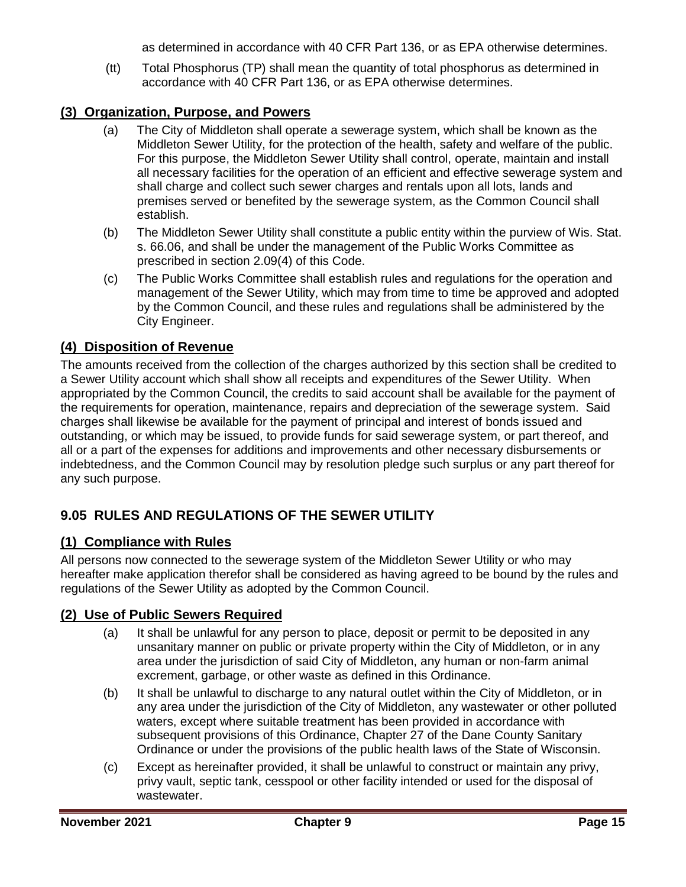as determined in accordance with 40 CFR Part 136, or as EPA otherwise determines.

(tt) Total Phosphorus (TP) shall mean the quantity of total phosphorus as determined in accordance with 40 CFR Part 136, or as EPA otherwise determines.

## <span id="page-14-0"></span>**(3) Organization, Purpose, and Powers**

- (a) The City of Middleton shall operate a sewerage system, which shall be known as the Middleton Sewer Utility, for the protection of the health, safety and welfare of the public. For this purpose, the Middleton Sewer Utility shall control, operate, maintain and install all necessary facilities for the operation of an efficient and effective sewerage system and shall charge and collect such sewer charges and rentals upon all lots, lands and premises served or benefited by the sewerage system, as the Common Council shall establish.
- (b) The Middleton Sewer Utility shall constitute a public entity within the purview of Wis. Stat. s. 66.06, and shall be under the management of the Public Works Committee as prescribed in section 2.09(4) of this Code.
- (c) The Public Works Committee shall establish rules and regulations for the operation and management of the Sewer Utility, which may from time to time be approved and adopted by the Common Council, and these rules and regulations shall be administered by the City Engineer.

## <span id="page-14-1"></span>**(4) Disposition of Revenue**

The amounts received from the collection of the charges authorized by this section shall be credited to a Sewer Utility account which shall show all receipts and expenditures of the Sewer Utility. When appropriated by the Common Council, the credits to said account shall be available for the payment of the requirements for operation, maintenance, repairs and depreciation of the sewerage system. Said charges shall likewise be available for the payment of principal and interest of bonds issued and outstanding, or which may be issued, to provide funds for said sewerage system, or part thereof, and all or a part of the expenses for additions and improvements and other necessary disbursements or indebtedness, and the Common Council may by resolution pledge such surplus or any part thereof for any such purpose.

# <span id="page-14-2"></span>**9.05 RULES AND REGULATIONS OF THE SEWER UTILITY**

## <span id="page-14-3"></span>**(1) Compliance with Rules**

All persons now connected to the sewerage system of the Middleton Sewer Utility or who may hereafter make application therefor shall be considered as having agreed to be bound by the rules and regulations of the Sewer Utility as adopted by the Common Council.

## <span id="page-14-4"></span>**(2) Use of Public Sewers Required**

- (a) It shall be unlawful for any person to place, deposit or permit to be deposited in any unsanitary manner on public or private property within the City of Middleton, or in any area under the jurisdiction of said City of Middleton, any human or non-farm animal excrement, garbage, or other waste as defined in this Ordinance.
- (b) It shall be unlawful to discharge to any natural outlet within the City of Middleton, or in any area under the jurisdiction of the City of Middleton, any wastewater or other polluted waters, except where suitable treatment has been provided in accordance with subsequent provisions of this Ordinance, Chapter 27 of the Dane County Sanitary Ordinance or under the provisions of the public health laws of the State of Wisconsin.
- (c) Except as hereinafter provided, it shall be unlawful to construct or maintain any privy, privy vault, septic tank, cesspool or other facility intended or used for the disposal of wastewater.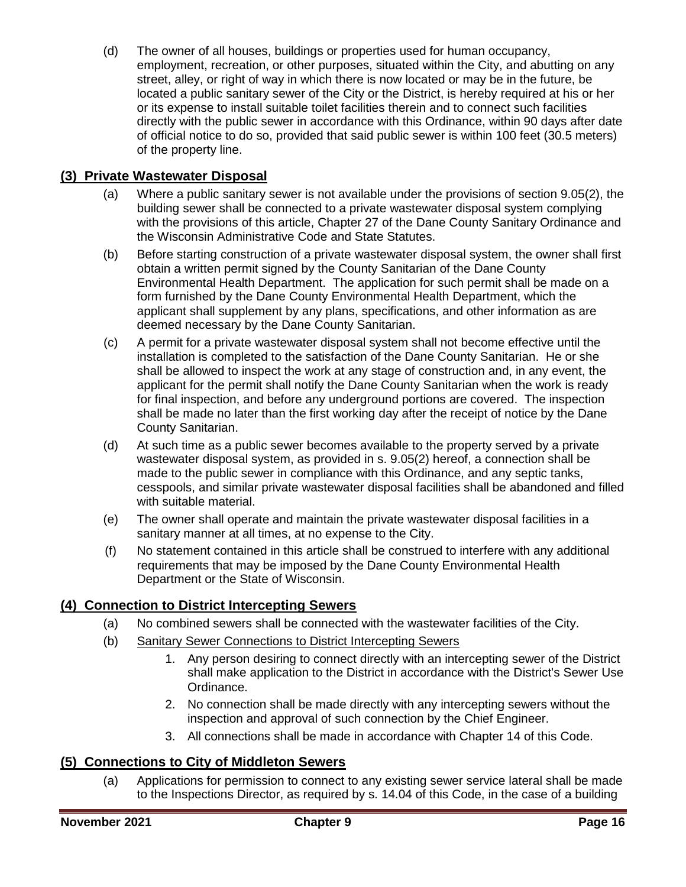(d) The owner of all houses, buildings or properties used for human occupancy, employment, recreation, or other purposes, situated within the City, and abutting on any street, alley, or right of way in which there is now located or may be in the future, be located a public sanitary sewer of the City or the District, is hereby required at his or her or its expense to install suitable toilet facilities therein and to connect such facilities directly with the public sewer in accordance with this Ordinance, within 90 days after date of official notice to do so, provided that said public sewer is within 100 feet (30.5 meters) of the property line.

### <span id="page-15-0"></span>**(3) Private Wastewater Disposal**

- (a) Where a public sanitary sewer is not available under the provisions of section 9.05(2), the building sewer shall be connected to a private wastewater disposal system complying with the provisions of this article, Chapter 27 of the Dane County Sanitary Ordinance and the Wisconsin Administrative Code and State Statutes.
- (b) Before starting construction of a private wastewater disposal system, the owner shall first obtain a written permit signed by the County Sanitarian of the Dane County Environmental Health Department. The application for such permit shall be made on a form furnished by the Dane County Environmental Health Department, which the applicant shall supplement by any plans, specifications, and other information as are deemed necessary by the Dane County Sanitarian.
- (c) A permit for a private wastewater disposal system shall not become effective until the installation is completed to the satisfaction of the Dane County Sanitarian. He or she shall be allowed to inspect the work at any stage of construction and, in any event, the applicant for the permit shall notify the Dane County Sanitarian when the work is ready for final inspection, and before any underground portions are covered. The inspection shall be made no later than the first working day after the receipt of notice by the Dane County Sanitarian.
- (d) At such time as a public sewer becomes available to the property served by a private wastewater disposal system, as provided in s. 9.05(2) hereof, a connection shall be made to the public sewer in compliance with this Ordinance, and any septic tanks, cesspools, and similar private wastewater disposal facilities shall be abandoned and filled with suitable material.
- (e) The owner shall operate and maintain the private wastewater disposal facilities in a sanitary manner at all times, at no expense to the City.
- (f) No statement contained in this article shall be construed to interfere with any additional requirements that may be imposed by the Dane County Environmental Health Department or the State of Wisconsin.

## <span id="page-15-1"></span>**(4) Connection to District Intercepting Sewers**

- (a) No combined sewers shall be connected with the wastewater facilities of the City.
- (b) Sanitary Sewer Connections to District Intercepting Sewers
	- 1. Any person desiring to connect directly with an intercepting sewer of the District shall make application to the District in accordance with the District's Sewer Use Ordinance.
	- 2. No connection shall be made directly with any intercepting sewers without the inspection and approval of such connection by the Chief Engineer.
	- 3. All connections shall be made in accordance with Chapter 14 of this Code.

## <span id="page-15-2"></span>**(5) Connections to City of Middleton Sewers**

(a) Applications for permission to connect to any existing sewer service lateral shall be made to the Inspections Director, as required by s. 14.04 of this Code, in the case of a building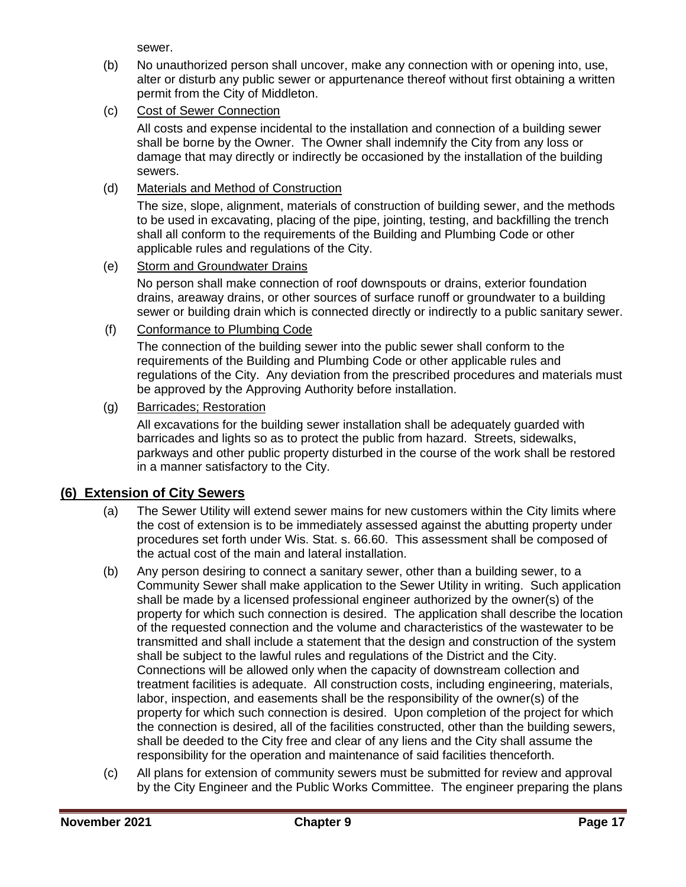sewer.

- (b) No unauthorized person shall uncover, make any connection with or opening into, use, alter or disturb any public sewer or appurtenance thereof without first obtaining a written permit from the City of Middleton.
- (c) Cost of Sewer Connection

All costs and expense incidental to the installation and connection of a building sewer shall be borne by the Owner. The Owner shall indemnify the City from any loss or damage that may directly or indirectly be occasioned by the installation of the building sewers.

(d) Materials and Method of Construction

The size, slope, alignment, materials of construction of building sewer, and the methods to be used in excavating, placing of the pipe, jointing, testing, and backfilling the trench shall all conform to the requirements of the Building and Plumbing Code or other applicable rules and regulations of the City.

#### (e) Storm and Groundwater Drains

No person shall make connection of roof downspouts or drains, exterior foundation drains, areaway drains, or other sources of surface runoff or groundwater to a building sewer or building drain which is connected directly or indirectly to a public sanitary sewer.

(f) Conformance to Plumbing Code

The connection of the building sewer into the public sewer shall conform to the requirements of the Building and Plumbing Code or other applicable rules and regulations of the City. Any deviation from the prescribed procedures and materials must be approved by the Approving Authority before installation.

#### (g) Barricades; Restoration

All excavations for the building sewer installation shall be adequately guarded with barricades and lights so as to protect the public from hazard. Streets, sidewalks, parkways and other public property disturbed in the course of the work shall be restored in a manner satisfactory to the City.

## <span id="page-16-0"></span>**(6) Extension of City Sewers**

- (a) The Sewer Utility will extend sewer mains for new customers within the City limits where the cost of extension is to be immediately assessed against the abutting property under procedures set forth under Wis. Stat. s. 66.60. This assessment shall be composed of the actual cost of the main and lateral installation.
- (b) Any person desiring to connect a sanitary sewer, other than a building sewer, to a Community Sewer shall make application to the Sewer Utility in writing. Such application shall be made by a licensed professional engineer authorized by the owner(s) of the property for which such connection is desired. The application shall describe the location of the requested connection and the volume and characteristics of the wastewater to be transmitted and shall include a statement that the design and construction of the system shall be subject to the lawful rules and regulations of the District and the City. Connections will be allowed only when the capacity of downstream collection and treatment facilities is adequate. All construction costs, including engineering, materials, labor, inspection, and easements shall be the responsibility of the owner(s) of the property for which such connection is desired. Upon completion of the project for which the connection is desired, all of the facilities constructed, other than the building sewers, shall be deeded to the City free and clear of any liens and the City shall assume the responsibility for the operation and maintenance of said facilities thenceforth.
- (c) All plans for extension of community sewers must be submitted for review and approval by the City Engineer and the Public Works Committee. The engineer preparing the plans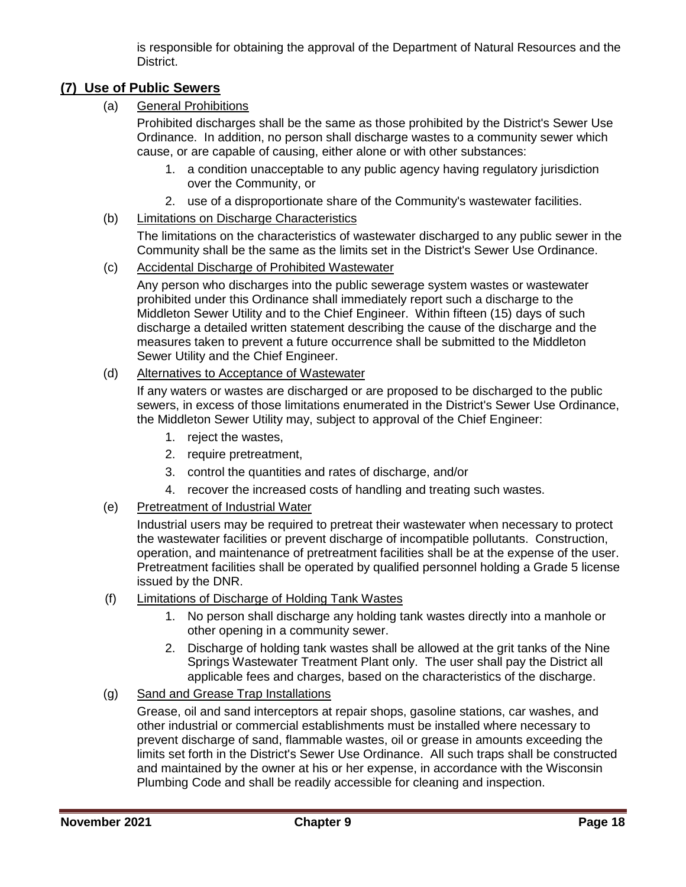is responsible for obtaining the approval of the Department of Natural Resources and the District.

# <span id="page-17-0"></span>**(7) Use of Public Sewers**

(a) General Prohibitions

Prohibited discharges shall be the same as those prohibited by the District's Sewer Use Ordinance. In addition, no person shall discharge wastes to a community sewer which cause, or are capable of causing, either alone or with other substances:

- 1. a condition unacceptable to any public agency having regulatory jurisdiction over the Community, or
- 2. use of a disproportionate share of the Community's wastewater facilities.

#### (b) Limitations on Discharge Characteristics

The limitations on the characteristics of wastewater discharged to any public sewer in the Community shall be the same as the limits set in the District's Sewer Use Ordinance.

#### (c) Accidental Discharge of Prohibited Wastewater

Any person who discharges into the public sewerage system wastes or wastewater prohibited under this Ordinance shall immediately report such a discharge to the Middleton Sewer Utility and to the Chief Engineer. Within fifteen (15) days of such discharge a detailed written statement describing the cause of the discharge and the measures taken to prevent a future occurrence shall be submitted to the Middleton Sewer Utility and the Chief Engineer.

#### (d) Alternatives to Acceptance of Wastewater

If any waters or wastes are discharged or are proposed to be discharged to the public sewers, in excess of those limitations enumerated in the District's Sewer Use Ordinance, the Middleton Sewer Utility may, subject to approval of the Chief Engineer:

- 1. reject the wastes,
- 2. require pretreatment,
- 3. control the quantities and rates of discharge, and/or
- 4. recover the increased costs of handling and treating such wastes.

#### (e) Pretreatment of Industrial Water

Industrial users may be required to pretreat their wastewater when necessary to protect the wastewater facilities or prevent discharge of incompatible pollutants. Construction, operation, and maintenance of pretreatment facilities shall be at the expense of the user. Pretreatment facilities shall be operated by qualified personnel holding a Grade 5 license issued by the DNR.

- (f) Limitations of Discharge of Holding Tank Wastes
	- 1. No person shall discharge any holding tank wastes directly into a manhole or other opening in a community sewer.
	- 2. Discharge of holding tank wastes shall be allowed at the grit tanks of the Nine Springs Wastewater Treatment Plant only. The user shall pay the District all applicable fees and charges, based on the characteristics of the discharge.

#### (g) Sand and Grease Trap Installations

Grease, oil and sand interceptors at repair shops, gasoline stations, car washes, and other industrial or commercial establishments must be installed where necessary to prevent discharge of sand, flammable wastes, oil or grease in amounts exceeding the limits set forth in the District's Sewer Use Ordinance. All such traps shall be constructed and maintained by the owner at his or her expense, in accordance with the Wisconsin Plumbing Code and shall be readily accessible for cleaning and inspection.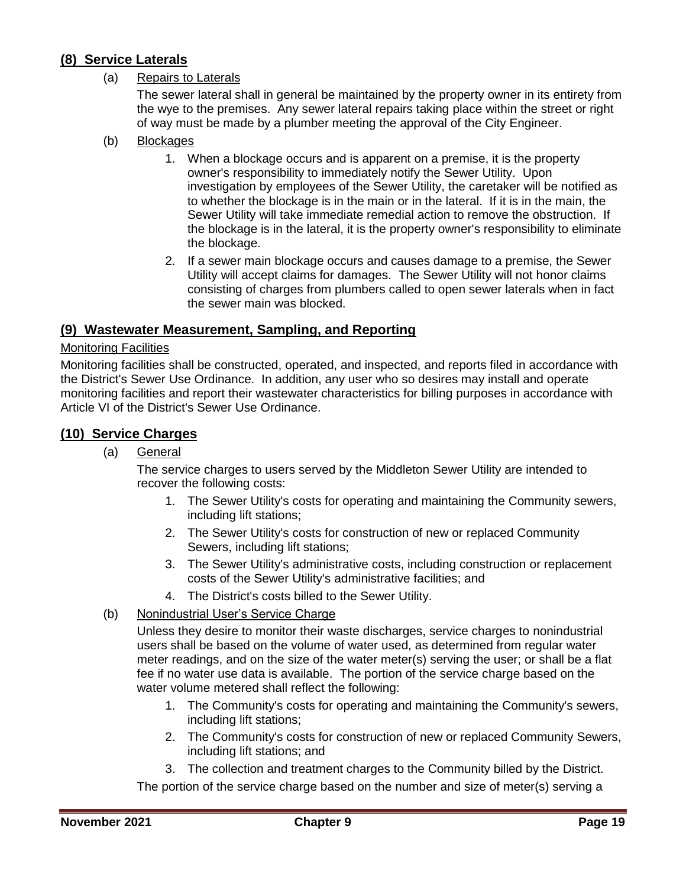## <span id="page-18-0"></span>**(8) Service Laterals**

#### (a) Repairs to Laterals

The sewer lateral shall in general be maintained by the property owner in its entirety from the wye to the premises. Any sewer lateral repairs taking place within the street or right of way must be made by a plumber meeting the approval of the City Engineer.

- (b) Blockages
	- 1. When a blockage occurs and is apparent on a premise, it is the property owner's responsibility to immediately notify the Sewer Utility. Upon investigation by employees of the Sewer Utility, the caretaker will be notified as to whether the blockage is in the main or in the lateral. If it is in the main, the Sewer Utility will take immediate remedial action to remove the obstruction. If the blockage is in the lateral, it is the property owner's responsibility to eliminate the blockage.
	- 2. If a sewer main blockage occurs and causes damage to a premise, the Sewer Utility will accept claims for damages. The Sewer Utility will not honor claims consisting of charges from plumbers called to open sewer laterals when in fact the sewer main was blocked.

#### <span id="page-18-1"></span>**(9) Wastewater Measurement, Sampling, and Reporting**

#### Monitoring Facilities

Monitoring facilities shall be constructed, operated, and inspected, and reports filed in accordance with the District's Sewer Use Ordinance. In addition, any user who so desires may install and operate monitoring facilities and report their wastewater characteristics for billing purposes in accordance with Article VI of the District's Sewer Use Ordinance.

#### <span id="page-18-2"></span>**(10) Service Charges**

(a) General

The service charges to users served by the Middleton Sewer Utility are intended to recover the following costs:

- 1. The Sewer Utility's costs for operating and maintaining the Community sewers, including lift stations;
- 2. The Sewer Utility's costs for construction of new or replaced Community Sewers, including lift stations;
- 3. The Sewer Utility's administrative costs, including construction or replacement costs of the Sewer Utility's administrative facilities; and
- 4. The District's costs billed to the Sewer Utility.
- (b) Nonindustrial User's Service Charge

Unless they desire to monitor their waste discharges, service charges to nonindustrial users shall be based on the volume of water used, as determined from regular water meter readings, and on the size of the water meter(s) serving the user; or shall be a flat fee if no water use data is available. The portion of the service charge based on the water volume metered shall reflect the following:

- 1. The Community's costs for operating and maintaining the Community's sewers, including lift stations;
- 2. The Community's costs for construction of new or replaced Community Sewers, including lift stations; and
- 3. The collection and treatment charges to the Community billed by the District.

The portion of the service charge based on the number and size of meter(s) serving a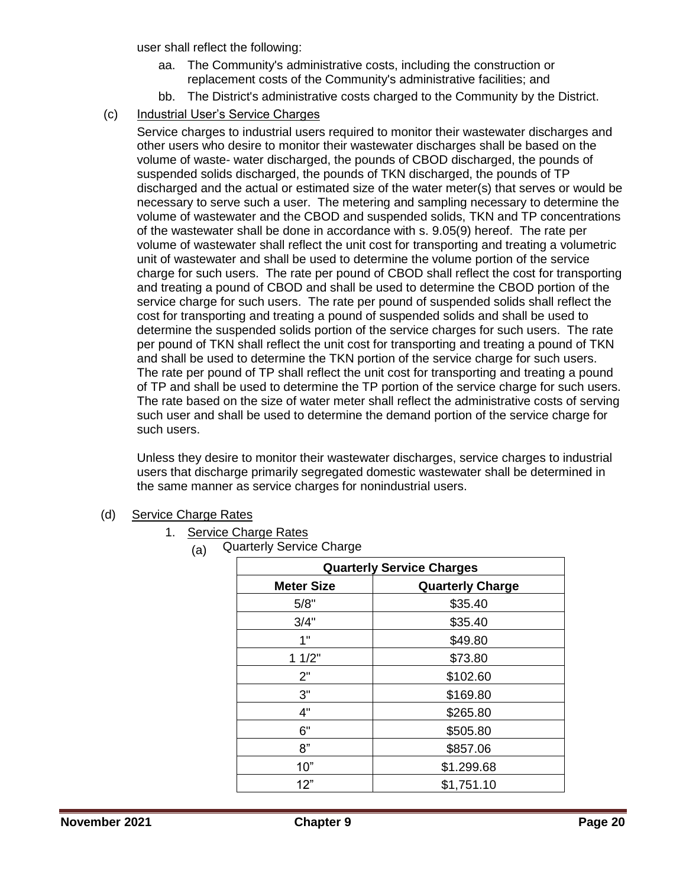user shall reflect the following:

- aa. The Community's administrative costs, including the construction or replacement costs of the Community's administrative facilities; and
- bb. The District's administrative costs charged to the Community by the District.
- (c) Industrial User's Service Charges

Service charges to industrial users required to monitor their wastewater discharges and other users who desire to monitor their wastewater discharges shall be based on the volume of waste- water discharged, the pounds of CBOD discharged, the pounds of suspended solids discharged, the pounds of TKN discharged, the pounds of TP discharged and the actual or estimated size of the water meter(s) that serves or would be necessary to serve such a user. The metering and sampling necessary to determine the volume of wastewater and the CBOD and suspended solids, TKN and TP concentrations of the wastewater shall be done in accordance with s. 9.05(9) hereof. The rate per volume of wastewater shall reflect the unit cost for transporting and treating a volumetric unit of wastewater and shall be used to determine the volume portion of the service charge for such users. The rate per pound of CBOD shall reflect the cost for transporting and treating a pound of CBOD and shall be used to determine the CBOD portion of the service charge for such users. The rate per pound of suspended solids shall reflect the cost for transporting and treating a pound of suspended solids and shall be used to determine the suspended solids portion of the service charges for such users. The rate per pound of TKN shall reflect the unit cost for transporting and treating a pound of TKN and shall be used to determine the TKN portion of the service charge for such users. The rate per pound of TP shall reflect the unit cost for transporting and treating a pound of TP and shall be used to determine the TP portion of the service charge for such users. The rate based on the size of water meter shall reflect the administrative costs of serving such user and shall be used to determine the demand portion of the service charge for such users.

Unless they desire to monitor their wastewater discharges, service charges to industrial users that discharge primarily segregated domestic wastewater shall be determined in the same manner as service charges for nonindustrial users.

(d) Service Charge Rates

#### 1. Service Charge Rates

(a) Quarterly Service Charge

| <b>Quarterly Service Charges</b> |                         |  |
|----------------------------------|-------------------------|--|
| <b>Meter Size</b>                | <b>Quarterly Charge</b> |  |
| 5/8"                             | \$35.40                 |  |
| 3/4"                             | \$35.40                 |  |
| 1"                               | \$49.80                 |  |
| 11/2"                            | \$73.80                 |  |
| 2"                               | \$102.60                |  |
| 3"                               | \$169.80                |  |
| 4"                               | \$265.80                |  |
| 6"                               | \$505.80                |  |
| 8"                               | \$857.06                |  |
| 10"                              | \$1.299.68              |  |
| 12"                              | \$1,751.10              |  |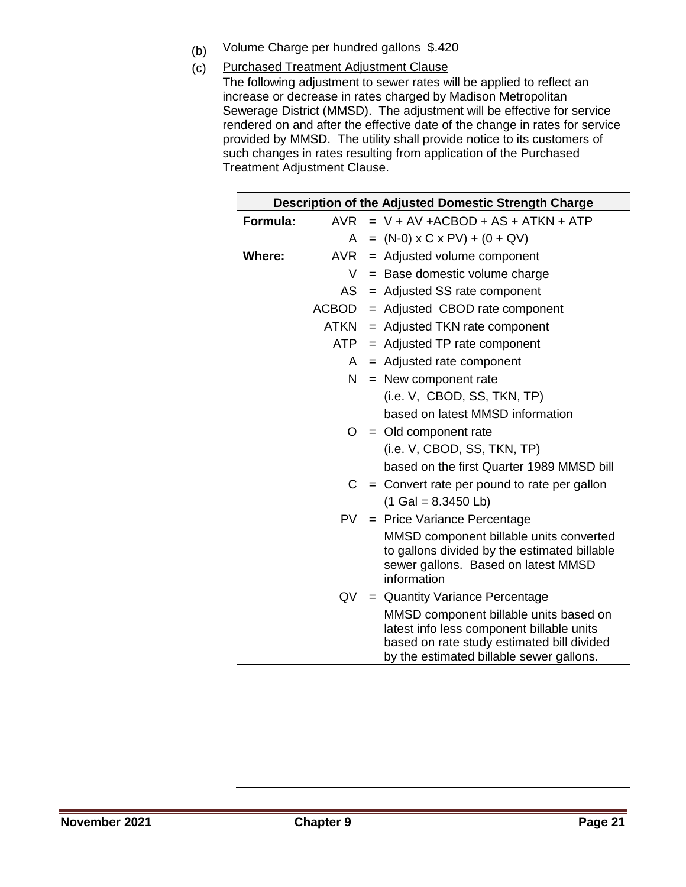- (b) Volume Charge per hundred gallons \$.420
- (c) Purchased Treatment Adjustment Clause
	- The following adjustment to sewer rates will be applied to reflect an increase or decrease in rates charged by Madison Metropolitan Sewerage District (MMSD). The adjustment will be effective for service rendered on and after the effective date of the change in rates for service provided by MMSD. The utility shall provide notice to its customers of such changes in rates resulting from application of the Purchased Treatment Adjustment Clause.

|          |     | Description of the Adjusted Domestic Strength Charge                                                                                                                          |
|----------|-----|-------------------------------------------------------------------------------------------------------------------------------------------------------------------------------|
| Formula: | AVR | $= V + AV + ACBOD + AS + ATKN + ATP$                                                                                                                                          |
|          | A   | $= (N-0) \times C \times PV$ + (0 + QV)                                                                                                                                       |
| Where:   | AVR | = Adjusted volume component                                                                                                                                                   |
|          | V   | $=$ Base domestic volume charge                                                                                                                                               |
|          |     | $AS =$ Adjusted SS rate component                                                                                                                                             |
|          |     | $ACBOD =$ Adjusted CBOD rate component                                                                                                                                        |
|          |     | $ATKN =$ Adjusted TKN rate component                                                                                                                                          |
|          |     | $ATP =$ Adjusted TP rate component                                                                                                                                            |
|          | A   | = Adjusted rate component                                                                                                                                                     |
|          |     | $N =$ New component rate                                                                                                                                                      |
|          |     | (i.e. V, CBOD, SS, TKN, TP)                                                                                                                                                   |
|          |     | based on latest MMSD information                                                                                                                                              |
|          |     | $O = Old$ component rate                                                                                                                                                      |
|          |     | (i.e. V, CBOD, SS, TKN, TP)                                                                                                                                                   |
|          |     | based on the first Quarter 1989 MMSD bill                                                                                                                                     |
|          | C   | $=$ Convert rate per pound to rate per gallon                                                                                                                                 |
|          |     | $(1$ Gal = 8.3450 Lb)                                                                                                                                                         |
|          |     | PV = Price Variance Percentage                                                                                                                                                |
|          |     | MMSD component billable units converted<br>to gallons divided by the estimated billable<br>sewer gallons. Based on latest MMSD<br>information                                 |
|          |     | $QV =$ Quantity Variance Percentage                                                                                                                                           |
|          |     | MMSD component billable units based on<br>latest info less component billable units<br>based on rate study estimated bill divided<br>by the estimated billable sewer gallons. |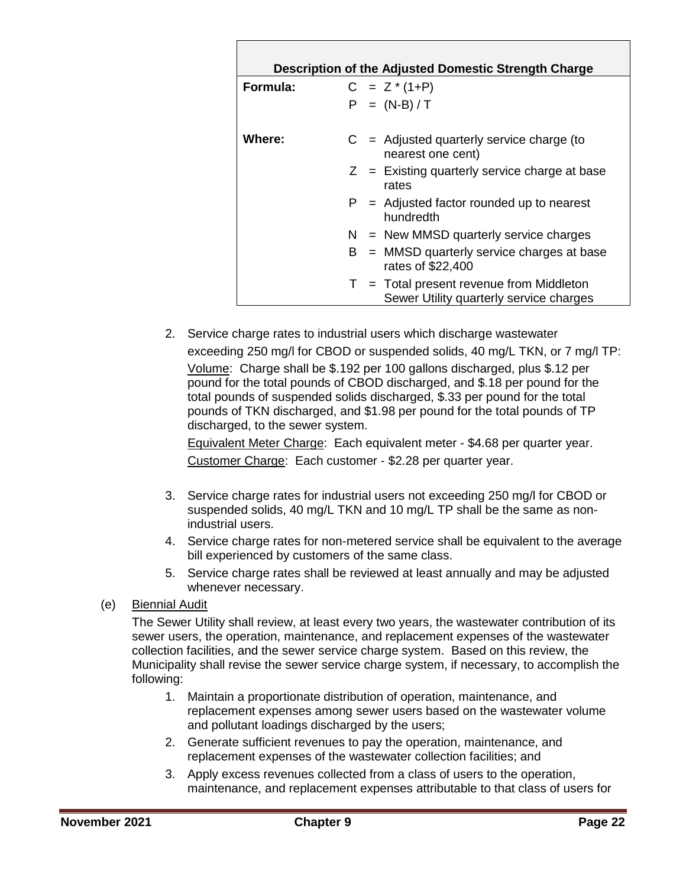| Description of the Adjusted Domestic Strength Charge |                                                                                              |  |  |  |  |
|------------------------------------------------------|----------------------------------------------------------------------------------------------|--|--|--|--|
| Formula:                                             | $C = Z^*(1+P)$                                                                               |  |  |  |  |
|                                                      | $P = (N-B)/T$                                                                                |  |  |  |  |
| Where:                                               | $C =$ Adjusted quarterly service charge (to<br>nearest one cent)                             |  |  |  |  |
|                                                      | $Z =$ Existing quarterly service charge at base<br>rates                                     |  |  |  |  |
|                                                      | $P =$ Adjusted factor rounded up to nearest<br>hundredth                                     |  |  |  |  |
|                                                      | $N =$ New MMSD quarterly service charges                                                     |  |  |  |  |
|                                                      | $B = MMSD$ quarterly service charges at base<br>rates of \$22,400                            |  |  |  |  |
|                                                      | $T = \text{Total present revenue from Middleton}$<br>Sewer Utility quarterly service charges |  |  |  |  |

2. Service charge rates to industrial users which discharge wastewater exceeding 250 mg/l for CBOD or suspended solids, 40 mg/L TKN, or 7 mg/l TP: Volume: Charge shall be \$.192 per 100 gallons discharged, plus \$.12 per pound for the total pounds of CBOD discharged, and \$.18 per pound for the total pounds of suspended solids discharged, \$.33 per pound for the total pounds of TKN discharged, and \$1.98 per pound for the total pounds of TP discharged, to the sewer system.

Equivalent Meter Charge: Each equivalent meter - \$4.68 per quarter year. Customer Charge: Each customer - \$2.28 per quarter year.

- 3. Service charge rates for industrial users not exceeding 250 mg/l for CBOD or suspended solids, 40 mg/L TKN and 10 mg/L TP shall be the same as nonindustrial users.
- 4. Service charge rates for non-metered service shall be equivalent to the average bill experienced by customers of the same class.
- 5. Service charge rates shall be reviewed at least annually and may be adjusted whenever necessary.
- (e) Biennial Audit

The Sewer Utility shall review, at least every two years, the wastewater contribution of its sewer users, the operation, maintenance, and replacement expenses of the wastewater collection facilities, and the sewer service charge system. Based on this review, the Municipality shall revise the sewer service charge system, if necessary, to accomplish the following:

- 1. Maintain a proportionate distribution of operation, maintenance, and replacement expenses among sewer users based on the wastewater volume and pollutant loadings discharged by the users;
- 2. Generate sufficient revenues to pay the operation, maintenance, and replacement expenses of the wastewater collection facilities; and
- 3. Apply excess revenues collected from a class of users to the operation, maintenance, and replacement expenses attributable to that class of users for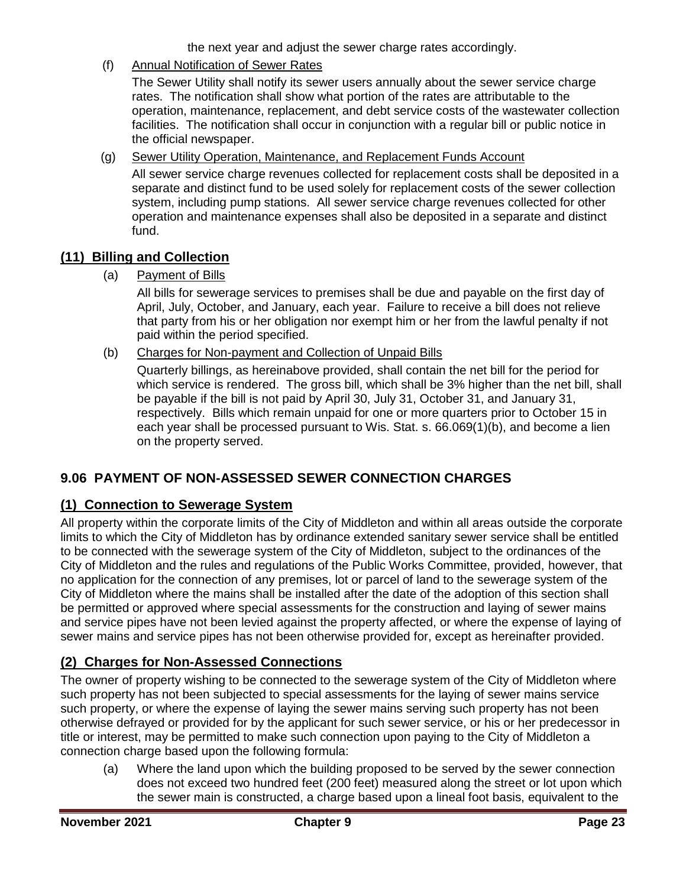the next year and adjust the sewer charge rates accordingly.

(f) Annual Notification of Sewer Rates

The Sewer Utility shall notify its sewer users annually about the sewer service charge rates. The notification shall show what portion of the rates are attributable to the operation, maintenance, replacement, and debt service costs of the wastewater collection facilities. The notification shall occur in conjunction with a regular bill or public notice in the official newspaper.

(g) Sewer Utility Operation, Maintenance, and Replacement Funds Account

All sewer service charge revenues collected for replacement costs shall be deposited in a separate and distinct fund to be used solely for replacement costs of the sewer collection system, including pump stations. All sewer service charge revenues collected for other operation and maintenance expenses shall also be deposited in a separate and distinct fund.

## <span id="page-22-0"></span>**(11) Billing and Collection**

(a) Payment of Bills

All bills for sewerage services to premises shall be due and payable on the first day of April, July, October, and January, each year. Failure to receive a bill does not relieve that party from his or her obligation nor exempt him or her from the lawful penalty if not paid within the period specified.

(b) Charges for Non-payment and Collection of Unpaid Bills

Quarterly billings, as hereinabove provided, shall contain the net bill for the period for which service is rendered. The gross bill, which shall be 3% higher than the net bill, shall be payable if the bill is not paid by April 30, July 31, October 31, and January 31, respectively. Bills which remain unpaid for one or more quarters prior to October 15 in each year shall be processed pursuant to Wis. Stat. s. 66.069(1)(b), and become a lien on the property served.

## <span id="page-22-1"></span>**9.06 PAYMENT OF NON-ASSESSED SEWER CONNECTION CHARGES**

## <span id="page-22-2"></span>**(1) Connection to Sewerage System**

All property within the corporate limits of the City of Middleton and within all areas outside the corporate limits to which the City of Middleton has by ordinance extended sanitary sewer service shall be entitled to be connected with the sewerage system of the City of Middleton, subject to the ordinances of the City of Middleton and the rules and regulations of the Public Works Committee, provided, however, that no application for the connection of any premises, lot or parcel of land to the sewerage system of the City of Middleton where the mains shall be installed after the date of the adoption of this section shall be permitted or approved where special assessments for the construction and laying of sewer mains and service pipes have not been levied against the property affected, or where the expense of laying of sewer mains and service pipes has not been otherwise provided for, except as hereinafter provided.

## <span id="page-22-3"></span>**(2) Charges for Non-Assessed Connections**

The owner of property wishing to be connected to the sewerage system of the City of Middleton where such property has not been subjected to special assessments for the laying of sewer mains service such property, or where the expense of laying the sewer mains serving such property has not been otherwise defrayed or provided for by the applicant for such sewer service, or his or her predecessor in title or interest, may be permitted to make such connection upon paying to the City of Middleton a connection charge based upon the following formula:

(a) Where the land upon which the building proposed to be served by the sewer connection does not exceed two hundred feet (200 feet) measured along the street or lot upon which the sewer main is constructed, a charge based upon a lineal foot basis, equivalent to the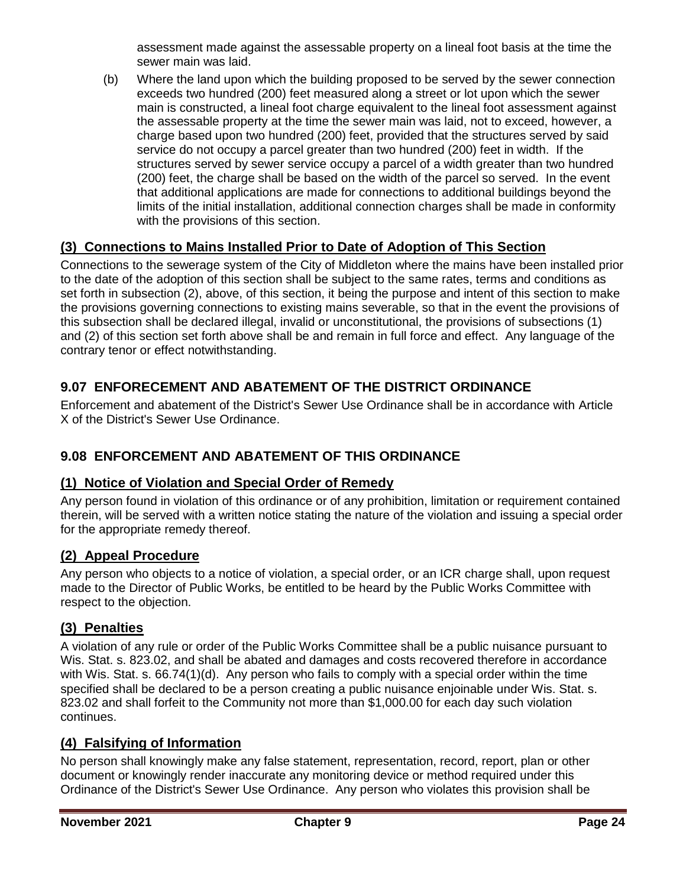assessment made against the assessable property on a lineal foot basis at the time the sewer main was laid.

(b) Where the land upon which the building proposed to be served by the sewer connection exceeds two hundred (200) feet measured along a street or lot upon which the sewer main is constructed, a lineal foot charge equivalent to the lineal foot assessment against the assessable property at the time the sewer main was laid, not to exceed, however, a charge based upon two hundred (200) feet, provided that the structures served by said service do not occupy a parcel greater than two hundred (200) feet in width. If the structures served by sewer service occupy a parcel of a width greater than two hundred (200) feet, the charge shall be based on the width of the parcel so served. In the event that additional applications are made for connections to additional buildings beyond the limits of the initial installation, additional connection charges shall be made in conformity with the provisions of this section.

## <span id="page-23-0"></span>**(3) Connections to Mains Installed Prior to Date of Adoption of This Section**

Connections to the sewerage system of the City of Middleton where the mains have been installed prior to the date of the adoption of this section shall be subject to the same rates, terms and conditions as set forth in subsection (2), above, of this section, it being the purpose and intent of this section to make the provisions governing connections to existing mains severable, so that in the event the provisions of this subsection shall be declared illegal, invalid or unconstitutional, the provisions of subsections (1) and (2) of this section set forth above shall be and remain in full force and effect. Any language of the contrary tenor or effect notwithstanding.

# <span id="page-23-1"></span>**9.07 ENFORECEMENT AND ABATEMENT OF THE DISTRICT ORDINANCE**

Enforcement and abatement of the District's Sewer Use Ordinance shall be in accordance with Article X of the District's Sewer Use Ordinance.

## <span id="page-23-2"></span>**9.08 ENFORCEMENT AND ABATEMENT OF THIS ORDINANCE**

#### <span id="page-23-3"></span>**(1) Notice of Violation and Special Order of Remedy**

Any person found in violation of this ordinance or of any prohibition, limitation or requirement contained therein, will be served with a written notice stating the nature of the violation and issuing a special order for the appropriate remedy thereof.

#### <span id="page-23-4"></span>**(2) Appeal Procedure**

Any person who objects to a notice of violation, a special order, or an ICR charge shall, upon request made to the Director of Public Works, be entitled to be heard by the Public Works Committee with respect to the objection.

## <span id="page-23-5"></span>**(3) Penalties**

A violation of any rule or order of the Public Works Committee shall be a public nuisance pursuant to Wis. Stat. s. 823.02, and shall be abated and damages and costs recovered therefore in accordance with Wis. Stat. s. 66.74(1)(d). Any person who fails to comply with a special order within the time specified shall be declared to be a person creating a public nuisance enjoinable under Wis. Stat. s. 823.02 and shall forfeit to the Community not more than \$1,000.00 for each day such violation continues.

## <span id="page-23-6"></span>**(4) Falsifying of Information**

No person shall knowingly make any false statement, representation, record, report, plan or other document or knowingly render inaccurate any monitoring device or method required under this Ordinance of the District's Sewer Use Ordinance. Any person who violates this provision shall be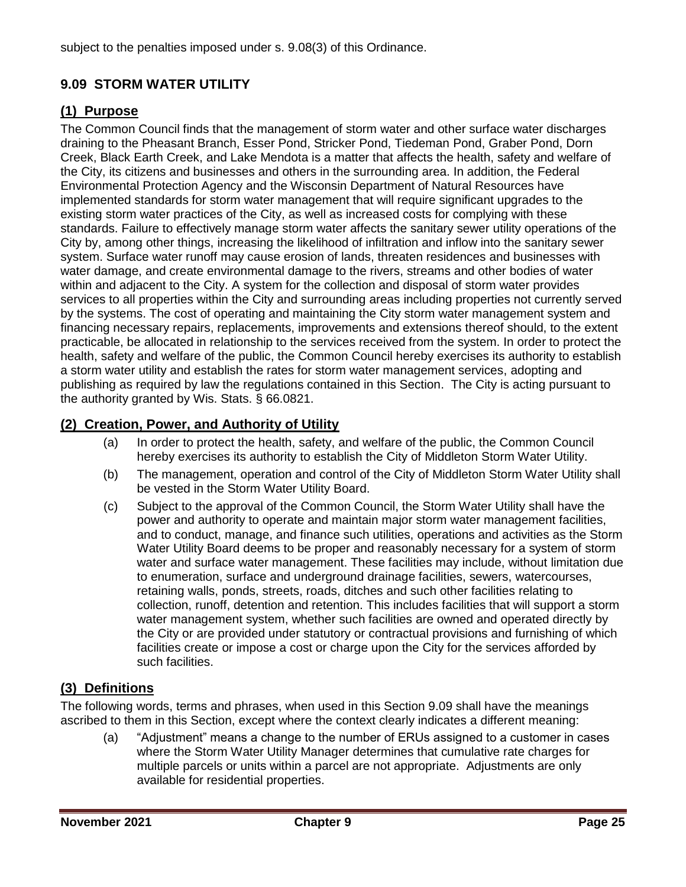subject to the penalties imposed under s. 9.08(3) of this Ordinance.

# <span id="page-24-0"></span>**9.09 STORM WATER UTILITY**

## <span id="page-24-1"></span>**(1) Purpose**

The Common Council finds that the management of storm water and other surface water discharges draining to the Pheasant Branch, Esser Pond, Stricker Pond, Tiedeman Pond, Graber Pond, Dorn Creek, Black Earth Creek, and Lake Mendota is a matter that affects the health, safety and welfare of the City, its citizens and businesses and others in the surrounding area. In addition, the Federal Environmental Protection Agency and the Wisconsin Department of Natural Resources have implemented standards for storm water management that will require significant upgrades to the existing storm water practices of the City, as well as increased costs for complying with these standards. Failure to effectively manage storm water affects the sanitary sewer utility operations of the City by, among other things, increasing the likelihood of infiltration and inflow into the sanitary sewer system. Surface water runoff may cause erosion of lands, threaten residences and businesses with water damage, and create environmental damage to the rivers, streams and other bodies of water within and adjacent to the City. A system for the collection and disposal of storm water provides services to all properties within the City and surrounding areas including properties not currently served by the systems. The cost of operating and maintaining the City storm water management system and financing necessary repairs, replacements, improvements and extensions thereof should, to the extent practicable, be allocated in relationship to the services received from the system. In order to protect the health, safety and welfare of the public, the Common Council hereby exercises its authority to establish a storm water utility and establish the rates for storm water management services, adopting and publishing as required by law the regulations contained in this Section. The City is acting pursuant to the authority granted by Wis. Stats. § 66.0821.

## <span id="page-24-2"></span>**(2) Creation, Power, and Authority of Utility**

- (a) In order to protect the health, safety, and welfare of the public, the Common Council hereby exercises its authority to establish the City of Middleton Storm Water Utility.
- (b) The management, operation and control of the City of Middleton Storm Water Utility shall be vested in the Storm Water Utility Board.
- (c) Subject to the approval of the Common Council, the Storm Water Utility shall have the power and authority to operate and maintain major storm water management facilities, and to conduct, manage, and finance such utilities, operations and activities as the Storm Water Utility Board deems to be proper and reasonably necessary for a system of storm water and surface water management. These facilities may include, without limitation due to enumeration, surface and underground drainage facilities, sewers, watercourses, retaining walls, ponds, streets, roads, ditches and such other facilities relating to collection, runoff, detention and retention. This includes facilities that will support a storm water management system, whether such facilities are owned and operated directly by the City or are provided under statutory or contractual provisions and furnishing of which facilities create or impose a cost or charge upon the City for the services afforded by such facilities.

## <span id="page-24-3"></span>**(3) Definitions**

The following words, terms and phrases, when used in this Section 9.09 shall have the meanings ascribed to them in this Section, except where the context clearly indicates a different meaning:

(a) "Adjustment" means a change to the number of ERUs assigned to a customer in cases where the Storm Water Utility Manager determines that cumulative rate charges for multiple parcels or units within a parcel are not appropriate. Adjustments are only available for residential properties.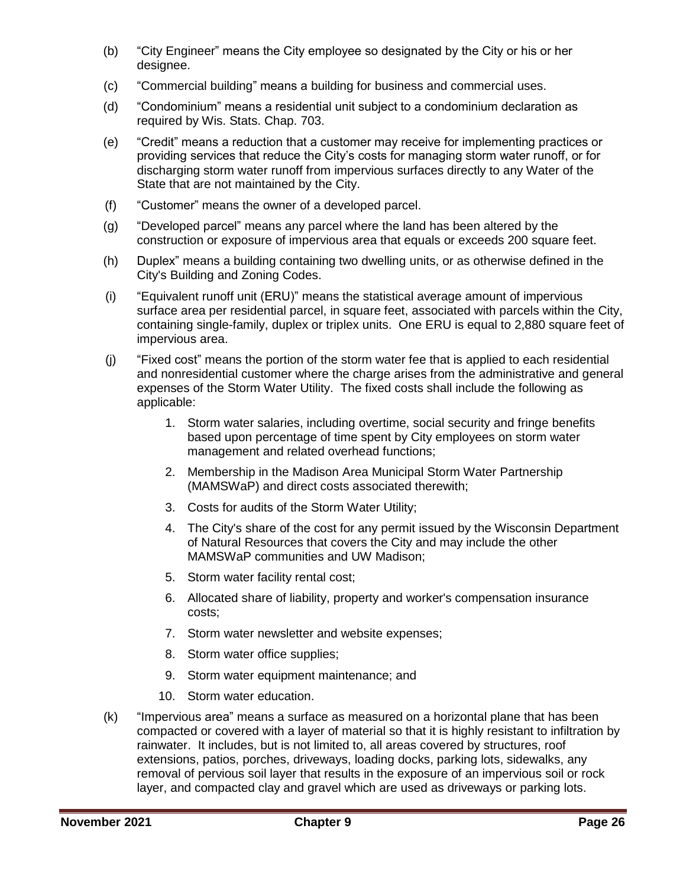- (b) "City Engineer" means the City employee so designated by the City or his or her designee.
- (c) "Commercial building" means a building for business and commercial uses.
- (d) "Condominium" means a residential unit subject to a condominium declaration as required by Wis. Stats. Chap. 703.
- (e) "Credit" means a reduction that a customer may receive for implementing practices or providing services that reduce the City's costs for managing storm water runoff, or for discharging storm water runoff from impervious surfaces directly to any Water of the State that are not maintained by the City.
- (f) "Customer" means the owner of a developed parcel.
- (g) "Developed parcel" means any parcel where the land has been altered by the construction or exposure of impervious area that equals or exceeds 200 square feet.
- (h) Duplex" means a building containing two dwelling units, or as otherwise defined in the City's Building and Zoning Codes.
- (i) "Equivalent runoff unit (ERU)" means the statistical average amount of impervious surface area per residential parcel, in square feet, associated with parcels within the City, containing single-family, duplex or triplex units. One ERU is equal to 2,880 square feet of impervious area.
- (j) "Fixed cost" means the portion of the storm water fee that is applied to each residential and nonresidential customer where the charge arises from the administrative and general expenses of the Storm Water Utility. The fixed costs shall include the following as applicable:
	- 1. Storm water salaries, including overtime, social security and fringe benefits based upon percentage of time spent by City employees on storm water management and related overhead functions;
	- 2. Membership in the Madison Area Municipal Storm Water Partnership (MAMSWaP) and direct costs associated therewith;
	- 3. Costs for audits of the Storm Water Utility;
	- 4. The City's share of the cost for any permit issued by the Wisconsin Department of Natural Resources that covers the City and may include the other MAMSWaP communities and UW Madison;
	- 5. Storm water facility rental cost;
	- 6. Allocated share of liability, property and worker's compensation insurance costs;
	- 7. Storm water newsletter and website expenses;
	- 8. Storm water office supplies;
	- 9. Storm water equipment maintenance; and
	- 10. Storm water education.
- (k) "Impervious area" means a surface as measured on a horizontal plane that has been compacted or covered with a layer of material so that it is highly resistant to infiltration by rainwater. It includes, but is not limited to, all areas covered by structures, roof extensions, patios, porches, driveways, loading docks, parking lots, sidewalks, any removal of pervious soil layer that results in the exposure of an impervious soil or rock layer, and compacted clay and gravel which are used as driveways or parking lots.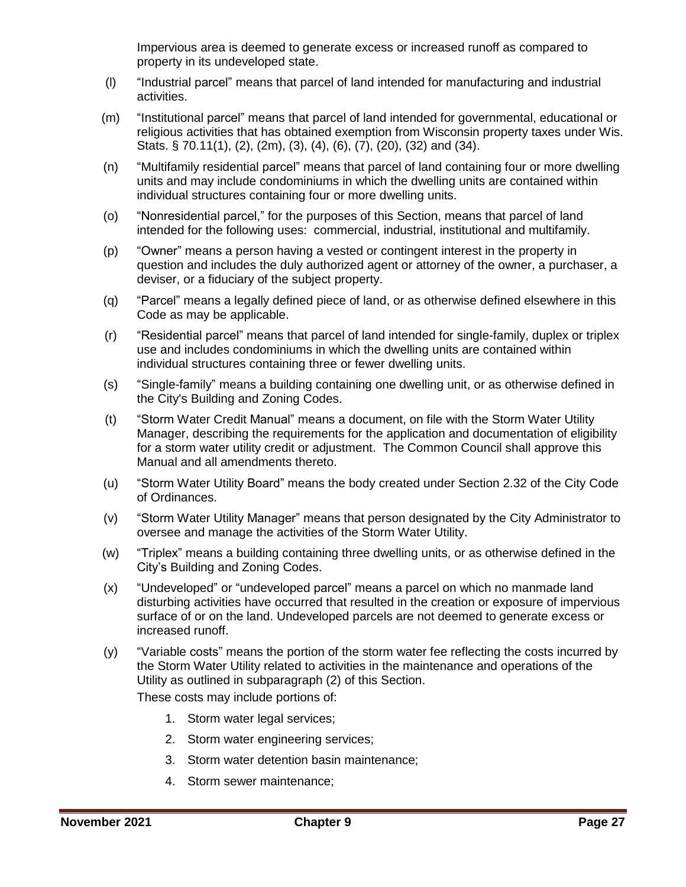Impervious area is deemed to generate excess or increased runoff as compared to property in its undeveloped state.

- (l) "Industrial parcel" means that parcel of land intended for manufacturing and industrial activities.
- (m) "Institutional parcel" means that parcel of land intended for governmental, educational or religious activities that has obtained exemption from Wisconsin property taxes under Wis. Stats. § 70.11(1), (2), (2m), (3), (4), (6), (7), (20), (32) and (34).
- (n) "Multifamily residential parcel" means that parcel of land containing four or more dwelling units and may include condominiums in which the dwelling units are contained within individual structures containing four or more dwelling units.
- (o) "Nonresidential parcel," for the purposes of this Section, means that parcel of land intended for the following uses: commercial, industrial, institutional and multifamily.
- (p) "Owner" means a person having a vested or contingent interest in the property in question and includes the duly authorized agent or attorney of the owner, a purchaser, a deviser, or a fiduciary of the subject property.
- (q) "Parcel" means a legally defined piece of land, or as otherwise defined elsewhere in this Code as may be applicable.
- (r) "Residential parcel" means that parcel of land intended for single-family, duplex or triplex use and includes condominiums in which the dwelling units are contained within individual structures containing three or fewer dwelling units.
- (s) "Single-family" means a building containing one dwelling unit, or as otherwise defined in the City's Building and Zoning Codes.
- (t) "Storm Water Credit Manual" means a document, on file with the Storm Water Utility Manager, describing the requirements for the application and documentation of eligibility for a storm water utility credit or adjustment. The Common Council shall approve this Manual and all amendments thereto.
- (u) "Storm Water Utility Board" means the body created under Section 2.32 of the City Code of Ordinances.
- (v) "Storm Water Utility Manager" means that person designated by the City Administrator to oversee and manage the activities of the Storm Water Utility.
- (w) "Triplex" means a building containing three dwelling units, or as otherwise defined in the City's Building and Zoning Codes.
- (x) "Undeveloped" or "undeveloped parcel" means a parcel on which no manmade land disturbing activities have occurred that resulted in the creation or exposure of impervious surface of or on the land. Undeveloped parcels are not deemed to generate excess or increased runoff.
- (y) "Variable costs" means the portion of the storm water fee reflecting the costs incurred by the Storm Water Utility related to activities in the maintenance and operations of the Utility as outlined in subparagraph (2) of this Section.

These costs may include portions of:

- 1. Storm water legal services;
- 2. Storm water engineering services;
- 3. Storm water detention basin maintenance;
- 4. Storm sewer maintenance;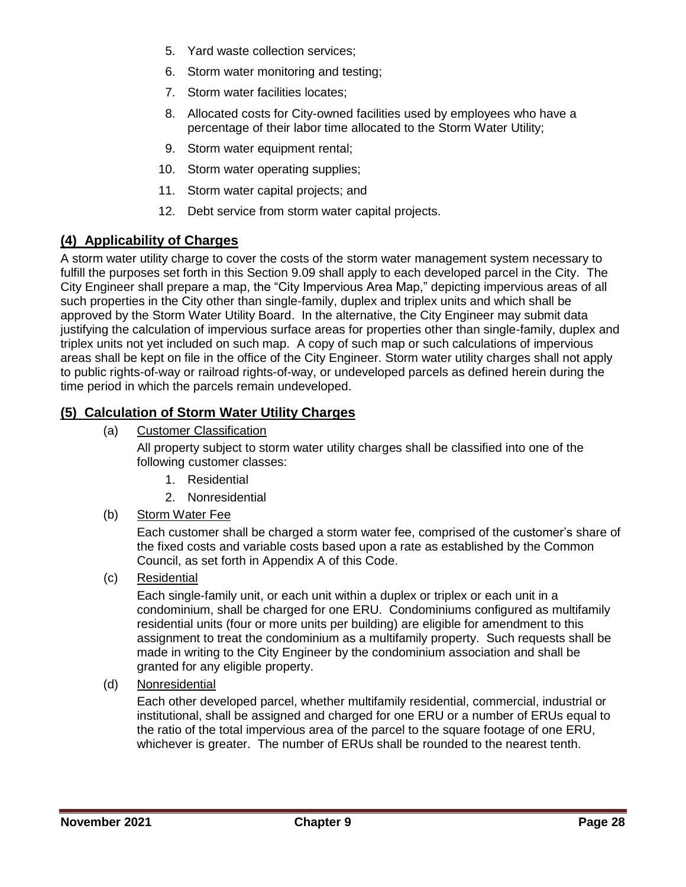- 5. Yard waste collection services;
- 6. Storm water monitoring and testing;
- 7. Storm water facilities locates;
- 8. Allocated costs for City-owned facilities used by employees who have a percentage of their labor time allocated to the Storm Water Utility;
- 9. Storm water equipment rental;
- 10. Storm water operating supplies;
- 11. Storm water capital projects; and
- 12. Debt service from storm water capital projects.

#### <span id="page-27-0"></span>**(4) Applicability of Charges**

A storm water utility charge to cover the costs of the storm water management system necessary to fulfill the purposes set forth in this Section 9.09 shall apply to each developed parcel in the City. The City Engineer shall prepare a map, the "City Impervious Area Map," depicting impervious areas of all such properties in the City other than single-family, duplex and triplex units and which shall be approved by the Storm Water Utility Board. In the alternative, the City Engineer may submit data justifying the calculation of impervious surface areas for properties other than single-family, duplex and triplex units not yet included on such map. A copy of such map or such calculations of impervious areas shall be kept on file in the office of the City Engineer. Storm water utility charges shall not apply to public rights-of-way or railroad rights-of-way, or undeveloped parcels as defined herein during the time period in which the parcels remain undeveloped.

### <span id="page-27-1"></span>**(5) Calculation of Storm Water Utility Charges**

(a) Customer Classification

All property subject to storm water utility charges shall be classified into one of the following customer classes:

- 1. Residential
- 2. Nonresidential
- (b) Storm Water Fee

Each customer shall be charged a storm water fee, comprised of the customer's share of the fixed costs and variable costs based upon a rate as established by the Common Council, as set forth in Appendix A of this Code.

(c) Residential

Each single-family unit, or each unit within a duplex or triplex or each unit in a condominium, shall be charged for one ERU. Condominiums configured as multifamily residential units (four or more units per building) are eligible for amendment to this assignment to treat the condominium as a multifamily property. Such requests shall be made in writing to the City Engineer by the condominium association and shall be granted for any eligible property.

(d) Nonresidential

Each other developed parcel, whether multifamily residential, commercial, industrial or institutional, shall be assigned and charged for one ERU or a number of ERUs equal to the ratio of the total impervious area of the parcel to the square footage of one ERU, whichever is greater. The number of ERUs shall be rounded to the nearest tenth.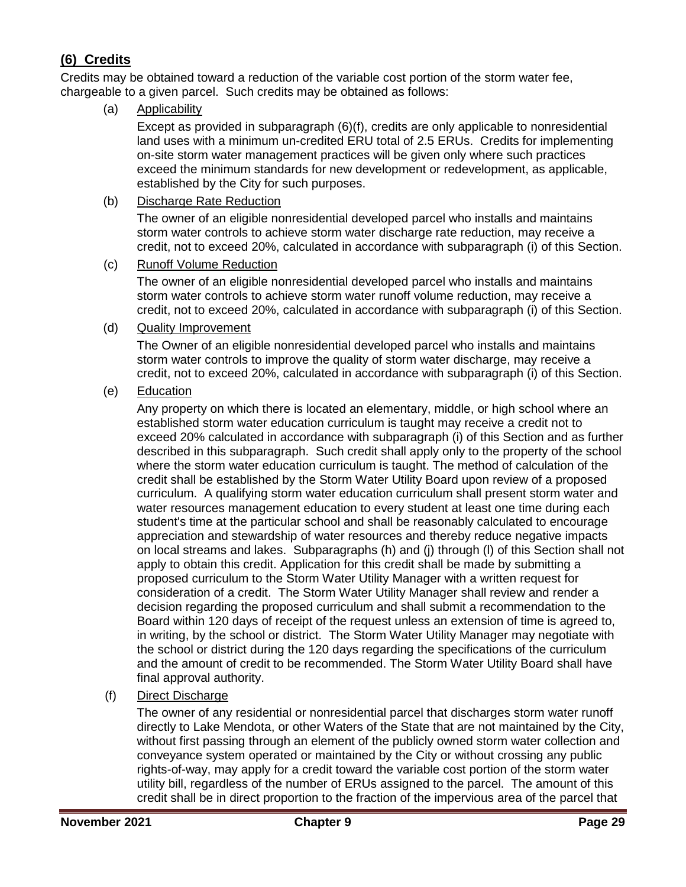# <span id="page-28-0"></span>**(6) Credits**

Credits may be obtained toward a reduction of the variable cost portion of the storm water fee, chargeable to a given parcel. Such credits may be obtained as follows:

(a) Applicability

Except as provided in subparagraph (6)(f), credits are only applicable to nonresidential land uses with a minimum un-credited ERU total of 2.5 ERUs. Credits for implementing on-site storm water management practices will be given only where such practices exceed the minimum standards for new development or redevelopment, as applicable, established by the City for such purposes.

(b) Discharge Rate Reduction

The owner of an eligible nonresidential developed parcel who installs and maintains storm water controls to achieve storm water discharge rate reduction, may receive a credit, not to exceed 20%, calculated in accordance with subparagraph (i) of this Section.

(c) Runoff Volume Reduction

The owner of an eligible nonresidential developed parcel who installs and maintains storm water controls to achieve storm water runoff volume reduction, may receive a credit, not to exceed 20%, calculated in accordance with subparagraph (i) of this Section.

(d) Quality Improvement

The Owner of an eligible nonresidential developed parcel who installs and maintains storm water controls to improve the quality of storm water discharge, may receive a credit, not to exceed 20%, calculated in accordance with subparagraph (i) of this Section.

(e) Education

Any property on which there is located an elementary, middle, or high school where an established storm water education curriculum is taught may receive a credit not to exceed 20% calculated in accordance with subparagraph (i) of this Section and as further described in this subparagraph. Such credit shall apply only to the property of the school where the storm water education curriculum is taught. The method of calculation of the credit shall be established by the Storm Water Utility Board upon review of a proposed curriculum. A qualifying storm water education curriculum shall present storm water and water resources management education to every student at least one time during each student's time at the particular school and shall be reasonably calculated to encourage appreciation and stewardship of water resources and thereby reduce negative impacts on local streams and lakes. Subparagraphs (h) and (j) through (l) of this Section shall not apply to obtain this credit. Application for this credit shall be made by submitting a proposed curriculum to the Storm Water Utility Manager with a written request for consideration of a credit. The Storm Water Utility Manager shall review and render a decision regarding the proposed curriculum and shall submit a recommendation to the Board within 120 days of receipt of the request unless an extension of time is agreed to, in writing, by the school or district. The Storm Water Utility Manager may negotiate with the school or district during the 120 days regarding the specifications of the curriculum and the amount of credit to be recommended. The Storm Water Utility Board shall have final approval authority.

(f) Direct Discharge

The owner of any residential or nonresidential parcel that discharges storm water runoff directly to Lake Mendota, or other Waters of the State that are not maintained by the City, without first passing through an element of the publicly owned storm water collection and conveyance system operated or maintained by the City or without crossing any public rights-of-way, may apply for a credit toward the variable cost portion of the storm water utility bill, regardless of the number of ERUs assigned to the parcel. The amount of this credit shall be in direct proportion to the fraction of the impervious area of the parcel that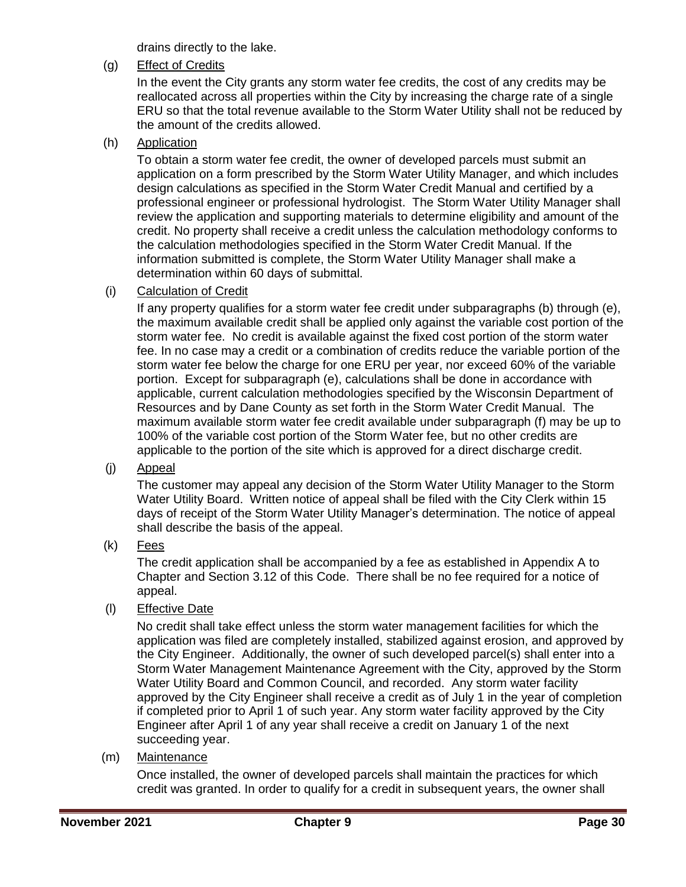drains directly to the lake.

#### (g) Effect of Credits

In the event the City grants any storm water fee credits, the cost of any credits may be reallocated across all properties within the City by increasing the charge rate of a single ERU so that the total revenue available to the Storm Water Utility shall not be reduced by the amount of the credits allowed.

#### (h) Application

To obtain a storm water fee credit, the owner of developed parcels must submit an application on a form prescribed by the Storm Water Utility Manager, and which includes design calculations as specified in the Storm Water Credit Manual and certified by a professional engineer or professional hydrologist. The Storm Water Utility Manager shall review the application and supporting materials to determine eligibility and amount of the credit. No property shall receive a credit unless the calculation methodology conforms to the calculation methodologies specified in the Storm Water Credit Manual. If the information submitted is complete, the Storm Water Utility Manager shall make a determination within 60 days of submittal.

#### (i) Calculation of Credit

If any property qualifies for a storm water fee credit under subparagraphs (b) through (e), the maximum available credit shall be applied only against the variable cost portion of the storm water fee. No credit is available against the fixed cost portion of the storm water fee. In no case may a credit or a combination of credits reduce the variable portion of the storm water fee below the charge for one ERU per year, nor exceed 60% of the variable portion. Except for subparagraph (e), calculations shall be done in accordance with applicable, current calculation methodologies specified by the Wisconsin Department of Resources and by Dane County as set forth in the Storm Water Credit Manual. The maximum available storm water fee credit available under subparagraph (f) may be up to 100% of the variable cost portion of the Storm Water fee, but no other credits are applicable to the portion of the site which is approved for a direct discharge credit.

## (j) Appeal

The customer may appeal any decision of the Storm Water Utility Manager to the Storm Water Utility Board. Written notice of appeal shall be filed with the City Clerk within 15 days of receipt of the Storm Water Utility Manager's determination. The notice of appeal shall describe the basis of the appeal.

(k) Fees

The credit application shall be accompanied by a fee as established in Appendix A to Chapter and Section 3.12 of this Code. There shall be no fee required for a notice of appeal.

#### (l) Effective Date

No credit shall take effect unless the storm water management facilities for which the application was filed are completely installed, stabilized against erosion, and approved by the City Engineer. Additionally, the owner of such developed parcel(s) shall enter into a Storm Water Management Maintenance Agreement with the City, approved by the Storm Water Utility Board and Common Council, and recorded. Any storm water facility approved by the City Engineer shall receive a credit as of July 1 in the year of completion if completed prior to April 1 of such year. Any storm water facility approved by the City Engineer after April 1 of any year shall receive a credit on January 1 of the next succeeding year.

## (m) Maintenance

Once installed, the owner of developed parcels shall maintain the practices for which credit was granted. In order to qualify for a credit in subsequent years, the owner shall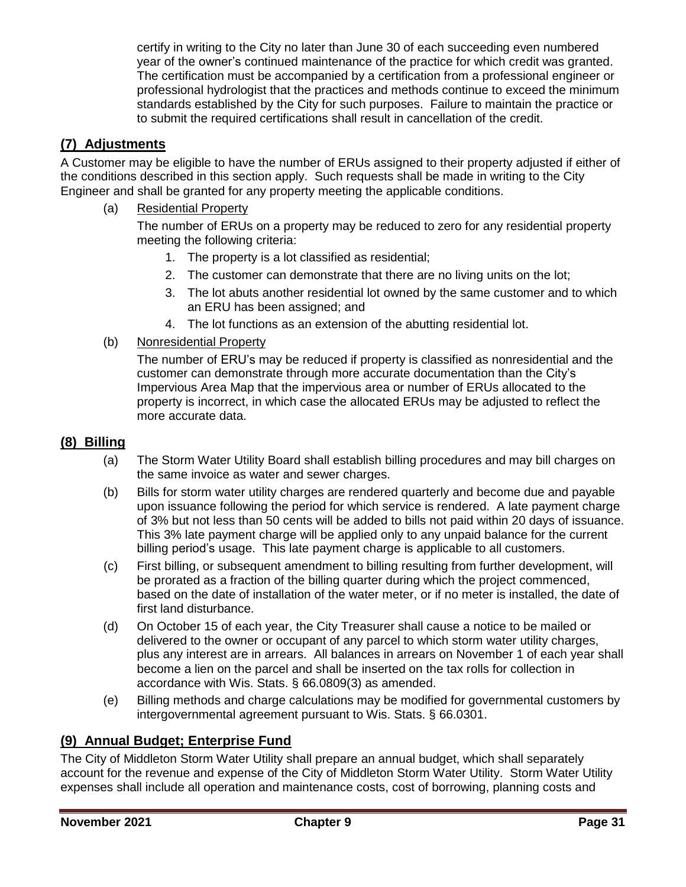certify in writing to the City no later than June 30 of each succeeding even numbered year of the owner's continued maintenance of the practice for which credit was granted. The certification must be accompanied by a certification from a professional engineer or professional hydrologist that the practices and methods continue to exceed the minimum standards established by the City for such purposes. Failure to maintain the practice or to submit the required certifications shall result in cancellation of the credit.

# <span id="page-30-0"></span>**(7) Adjustments**

A Customer may be eligible to have the number of ERUs assigned to their property adjusted if either of the conditions described in this section apply. Such requests shall be made in writing to the City Engineer and shall be granted for any property meeting the applicable conditions.

(a) Residential Property

The number of ERUs on a property may be reduced to zero for any residential property meeting the following criteria:

- 1. The property is a lot classified as residential;
- 2. The customer can demonstrate that there are no living units on the lot;
- 3. The lot abuts another residential lot owned by the same customer and to which an ERU has been assigned; and
- 4. The lot functions as an extension of the abutting residential lot.
- (b) Nonresidential Property

The number of ERU's may be reduced if property is classified as nonresidential and the customer can demonstrate through more accurate documentation than the City's Impervious Area Map that the impervious area or number of ERUs allocated to the property is incorrect, in which case the allocated ERUs may be adjusted to reflect the more accurate data.

#### <span id="page-30-1"></span>**(8) Billing**

- (a) The Storm Water Utility Board shall establish billing procedures and may bill charges on the same invoice as water and sewer charges.
- (b) Bills for storm water utility charges are rendered quarterly and become due and payable upon issuance following the period for which service is rendered. A late payment charge of 3% but not less than 50 cents will be added to bills not paid within 20 days of issuance. This 3% late payment charge will be applied only to any unpaid balance for the current billing period's usage. This late payment charge is applicable to all customers.
- (c) First billing, or subsequent amendment to billing resulting from further development, will be prorated as a fraction of the billing quarter during which the project commenced, based on the date of installation of the water meter, or if no meter is installed, the date of first land disturbance.
- (d) On October 15 of each year, the City Treasurer shall cause a notice to be mailed or delivered to the owner or occupant of any parcel to which storm water utility charges, plus any interest are in arrears. All balances in arrears on November 1 of each year shall become a lien on the parcel and shall be inserted on the tax rolls for collection in accordance with Wis. Stats. § 66.0809(3) as amended.
- (e) Billing methods and charge calculations may be modified for governmental customers by intergovernmental agreement pursuant to Wis. Stats. § 66.0301.

#### <span id="page-30-2"></span>**(9) Annual Budget; Enterprise Fund**

The City of Middleton Storm Water Utility shall prepare an annual budget, which shall separately account for the revenue and expense of the City of Middleton Storm Water Utility. Storm Water Utility expenses shall include all operation and maintenance costs, cost of borrowing, planning costs and